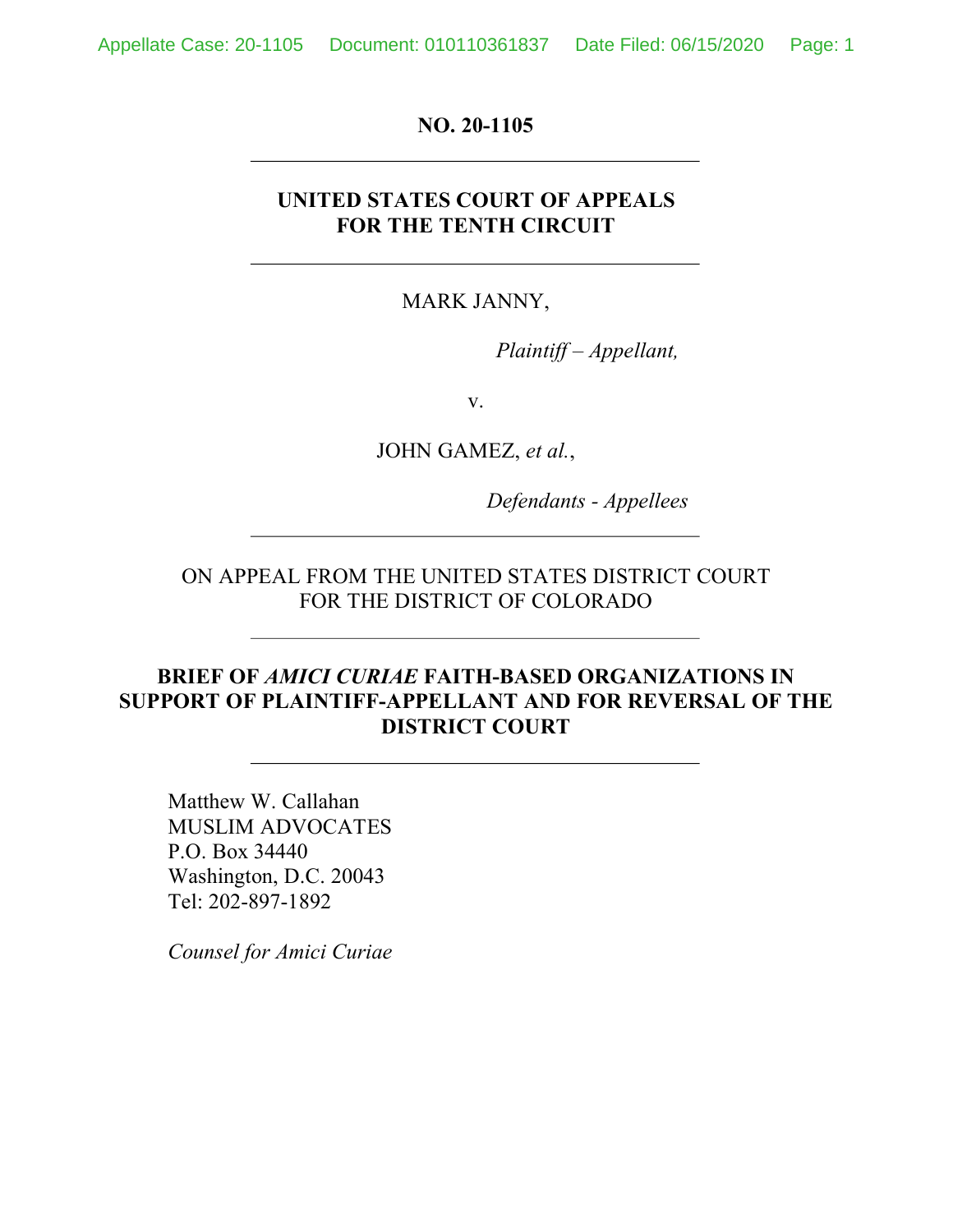Appellate Case: 20-1105 Document: 010110361837 Date Filed: 06/15/2020 Page: 1

**NO. 20-1105**

### **UNITED STATES COURT OF APPEALS FOR THE TENTH CIRCUIT**

MARK JANNY,

*Plaintiff – Appellant,*

v.

JOHN GAMEZ, *et al.*,

*Defendants - Appellees*

ON APPEAL FROM THE UNITED STATES DISTRICT COURT FOR THE DISTRICT OF COLORADO

### **BRIEF OF** *AMICI CURIAE* **FAITH-BASED ORGANIZATIONS IN SUPPORT OF PLAINTIFF-APPELLANT AND FOR REVERSAL OF THE DISTRICT COURT**

Matthew W. Callahan MUSLIM ADVOCATES P.O. Box 34440 Washington, D.C. 20043 Tel: 202-897-1892

*Counsel for Amici Curiae*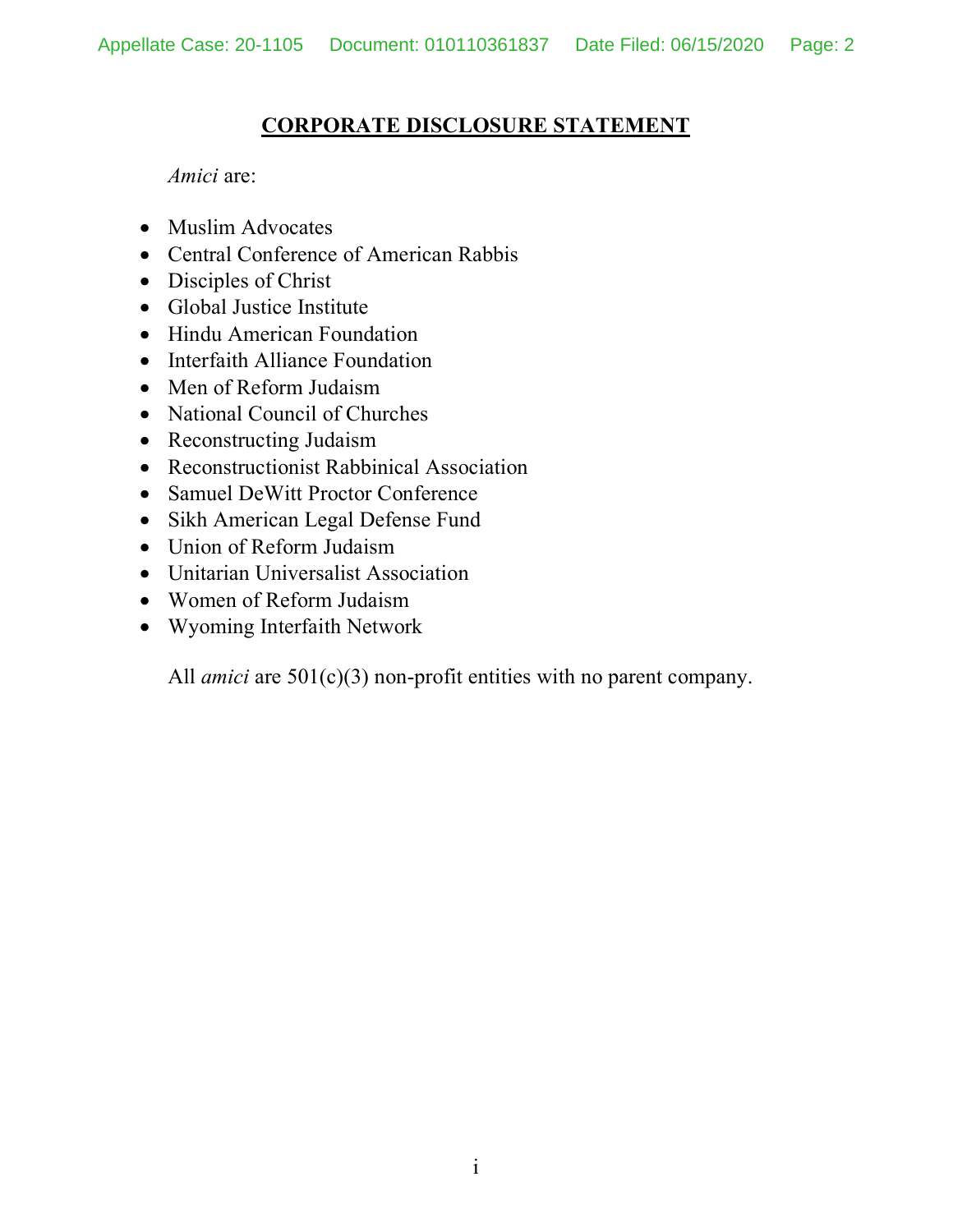## **CORPORATE DISCLOSURE STATEMENT**

*Amici* are:

- Muslim Advocates
- Central Conference of American Rabbis
- Disciples of Christ
- Global Justice Institute
- Hindu American Foundation
- Interfaith Alliance Foundation
- Men of Reform Judaism
- National Council of Churches
- Reconstructing Judaism
- Reconstructionist Rabbinical Association
- Samuel DeWitt Proctor Conference
- Sikh American Legal Defense Fund
- Union of Reform Judaism
- Unitarian Universalist Association
- Women of Reform Judaism
- Wyoming Interfaith Network

All *amici* are  $501(c)(3)$  non-profit entities with no parent company.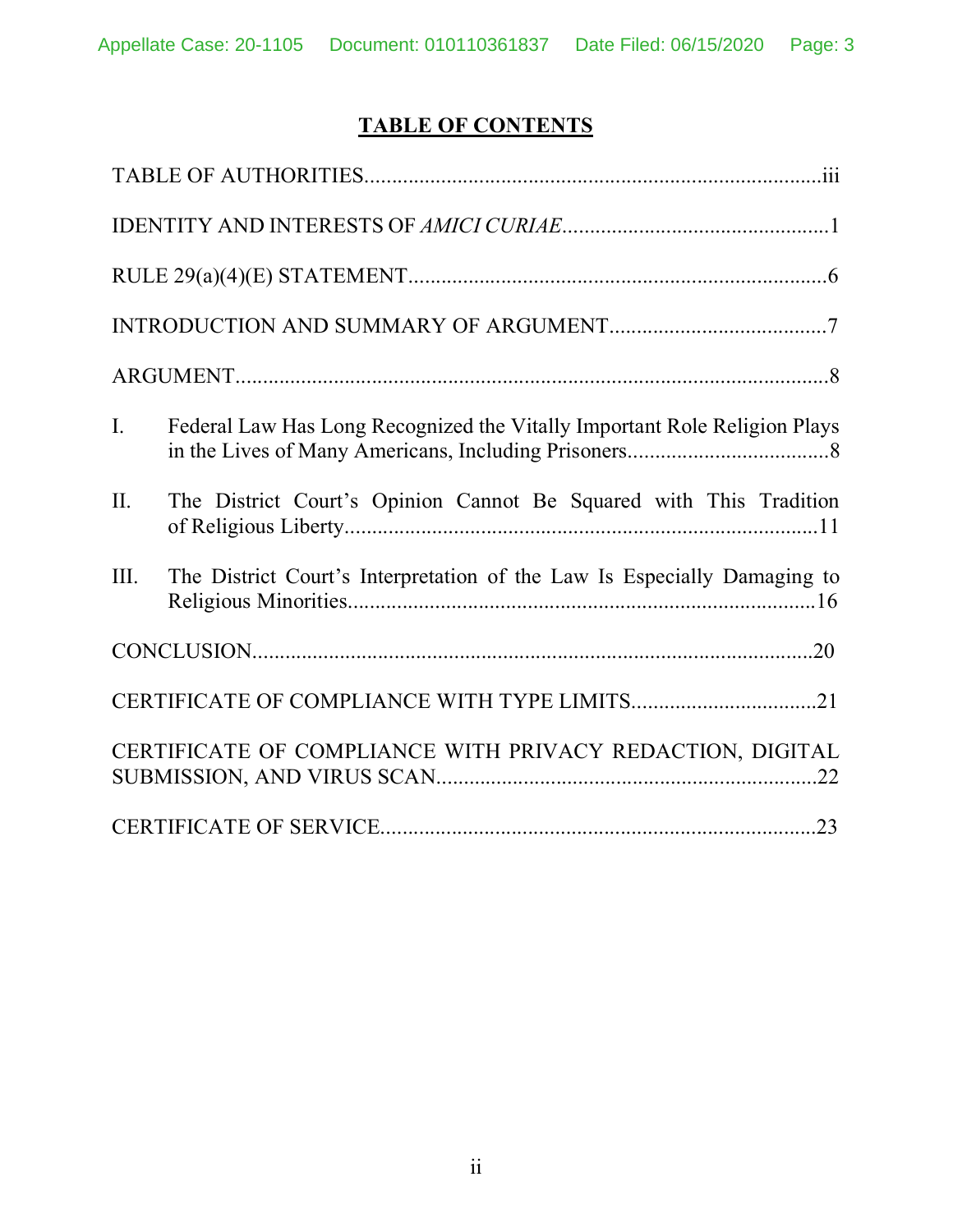# **TABLE OF CONTENTS**

| $\mathbf{I}$ . | Federal Law Has Long Recognized the Vitally Important Role Religion Plays |
|----------------|---------------------------------------------------------------------------|
| $\Pi$ .        | The District Court's Opinion Cannot Be Squared with This Tradition        |
| III.           | The District Court's Interpretation of the Law Is Especially Damaging to  |
|                |                                                                           |
|                |                                                                           |
|                | CERTIFICATE OF COMPLIANCE WITH PRIVACY REDACTION, DIGITAL                 |
|                |                                                                           |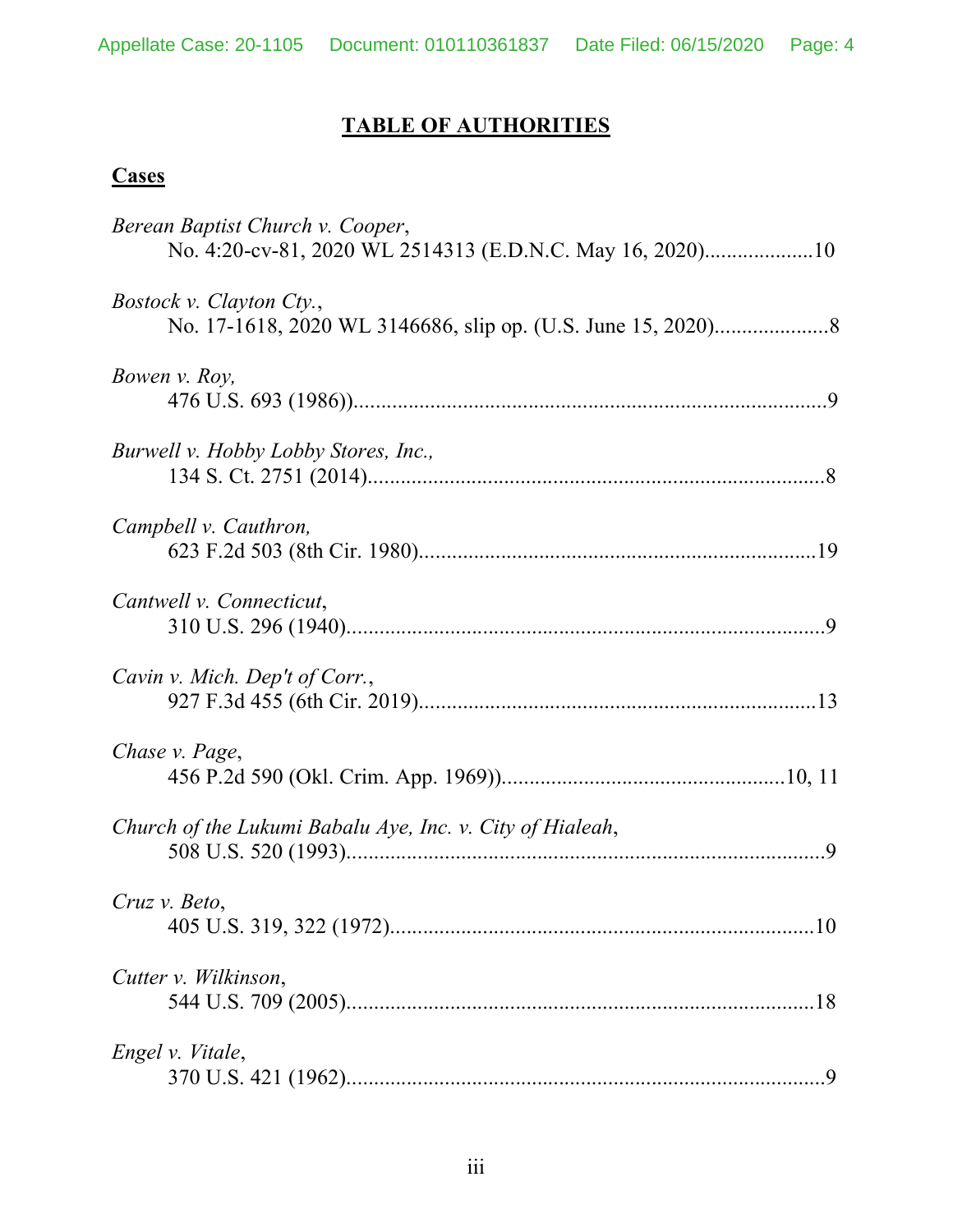# **TABLE OF AUTHORITIES**

# **Cases**

| Berean Baptist Church v. Cooper,<br>No. 4:20-cv-81, 2020 WL 2514313 (E.D.N.C. May 16, 2020)10 |  |
|-----------------------------------------------------------------------------------------------|--|
| <i>Bostock v. Clayton Cty.,</i>                                                               |  |
| Bowen v. Roy,                                                                                 |  |
| Burwell v. Hobby Lobby Stores, Inc.,                                                          |  |
| Campbell v. Cauthron,                                                                         |  |
| Cantwell v. Connecticut,                                                                      |  |
| Cavin v. Mich. Dep't of Corr.,                                                                |  |
| Chase v. Page,                                                                                |  |
| Church of the Lukumi Babalu Aye, Inc. v. City of Hialeah,                                     |  |
| Cruz v. Beto,                                                                                 |  |
| Cutter v. Wilkinson,                                                                          |  |
| Engel v. Vitale,                                                                              |  |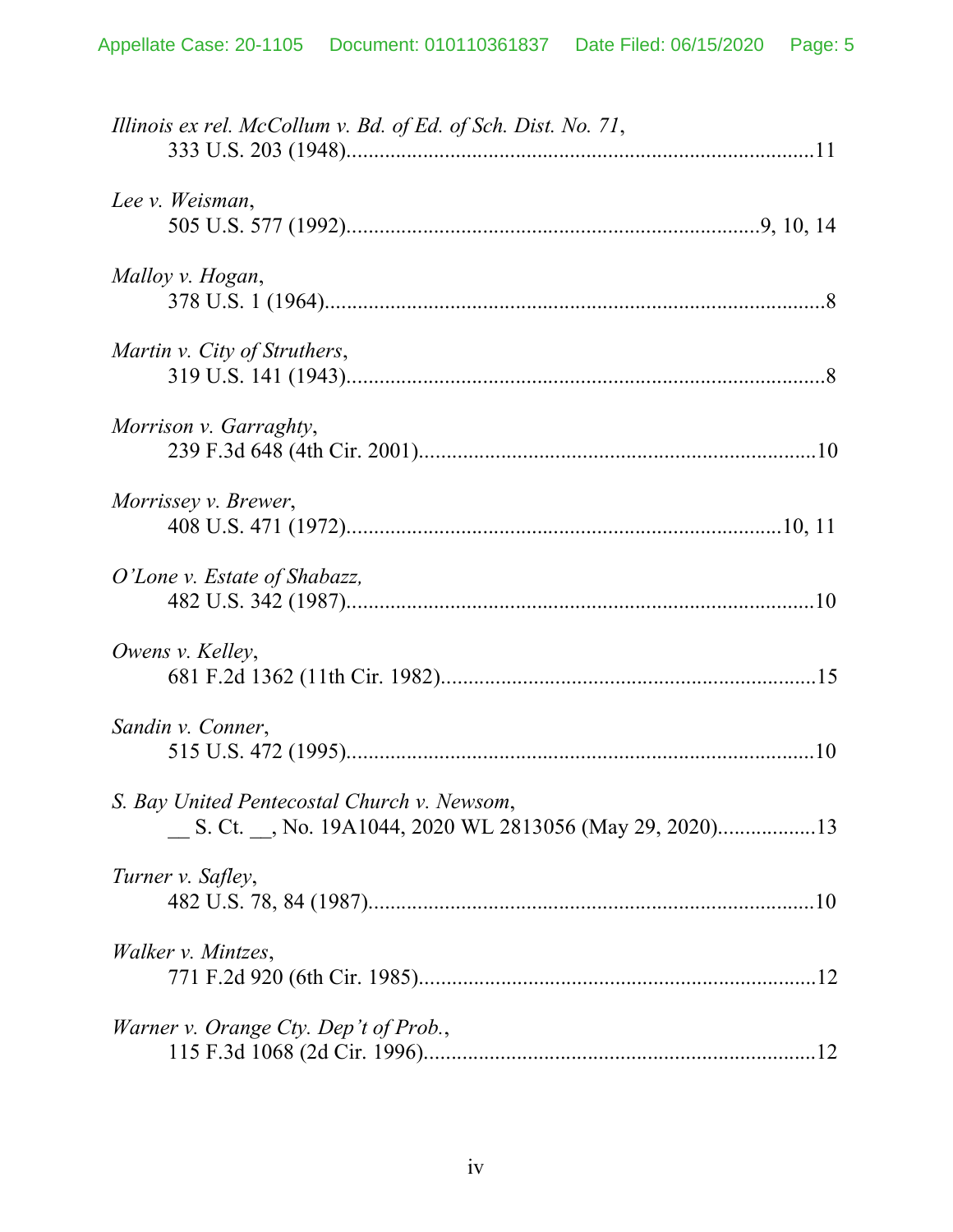| Illinois ex rel. McCollum v. Bd. of Ed. of Sch. Dist. No. 71, |  |
|---------------------------------------------------------------|--|
| Lee v. Weisman,                                               |  |
| Malloy v. Hogan,                                              |  |
| Martin v. City of Struthers,                                  |  |
| Morrison v. Garraghty,                                        |  |
| Morrissey v. Brewer,                                          |  |
| O'Lone v. Estate of Shabazz,                                  |  |
| Owens v. Kelley,                                              |  |
| Sandin v. Conner,                                             |  |
| S. Bay United Pentecostal Church v. Newsom,                   |  |
| Turner v. Safley,                                             |  |
| <i>Walker v. Mintzes,</i>                                     |  |
| <i>Warner v. Orange Cty. Dep't of Prob.,</i>                  |  |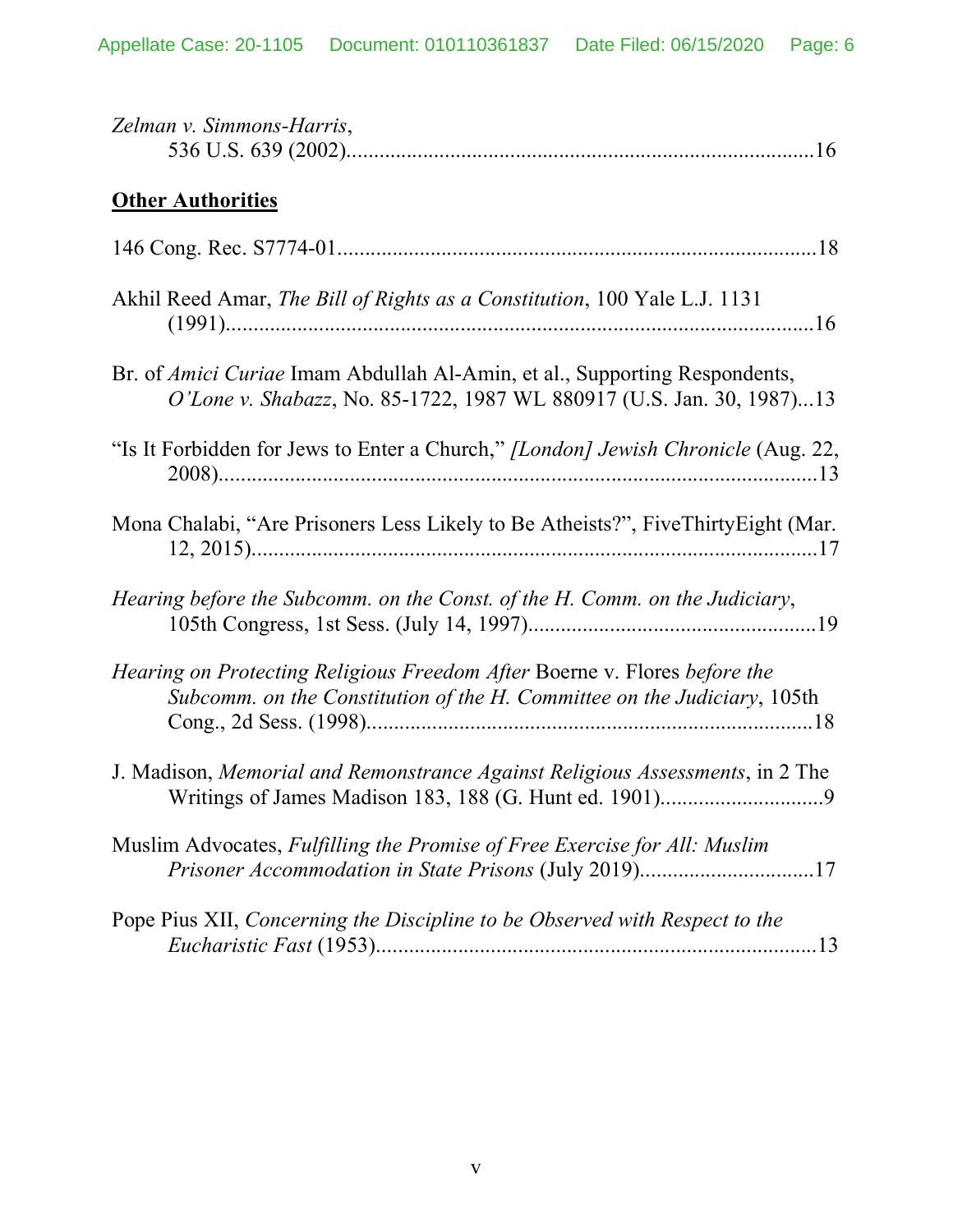| Zelman v. Simmons-Harris,                                                                                                                             |
|-------------------------------------------------------------------------------------------------------------------------------------------------------|
| <b>Other Authorities</b>                                                                                                                              |
|                                                                                                                                                       |
| Akhil Reed Amar, The Bill of Rights as a Constitution, 100 Yale L.J. 1131                                                                             |
| Br. of Amici Curiae Imam Abdullah Al-Amin, et al., Supporting Respondents,<br>O'Lone v. Shabazz, No. 85-1722, 1987 WL 880917 (U.S. Jan. 30, 1987)13   |
| "Is It Forbidden for Jews to Enter a Church," [London] Jewish Chronicle (Aug. 22,                                                                     |
| Mona Chalabi, "Are Prisoners Less Likely to Be Atheists?", FiveThirtyEight (Mar.                                                                      |
| Hearing before the Subcomm. on the Const. of the H. Comm. on the Judiciary,                                                                           |
| Hearing on Protecting Religious Freedom After Boerne v. Flores before the<br>Subcomm. on the Constitution of the H. Committee on the Judiciary, 105th |
| J. Madison, <i>Memorial and Remonstrance Against Religious Assessments</i> , in 2 The                                                                 |
| Muslim Advocates, Fulfilling the Promise of Free Exercise for All: Muslim<br>Prisoner Accommodation in State Prisons (July 2019)17                    |
| Pope Pius XII, Concerning the Discipline to be Observed with Respect to the                                                                           |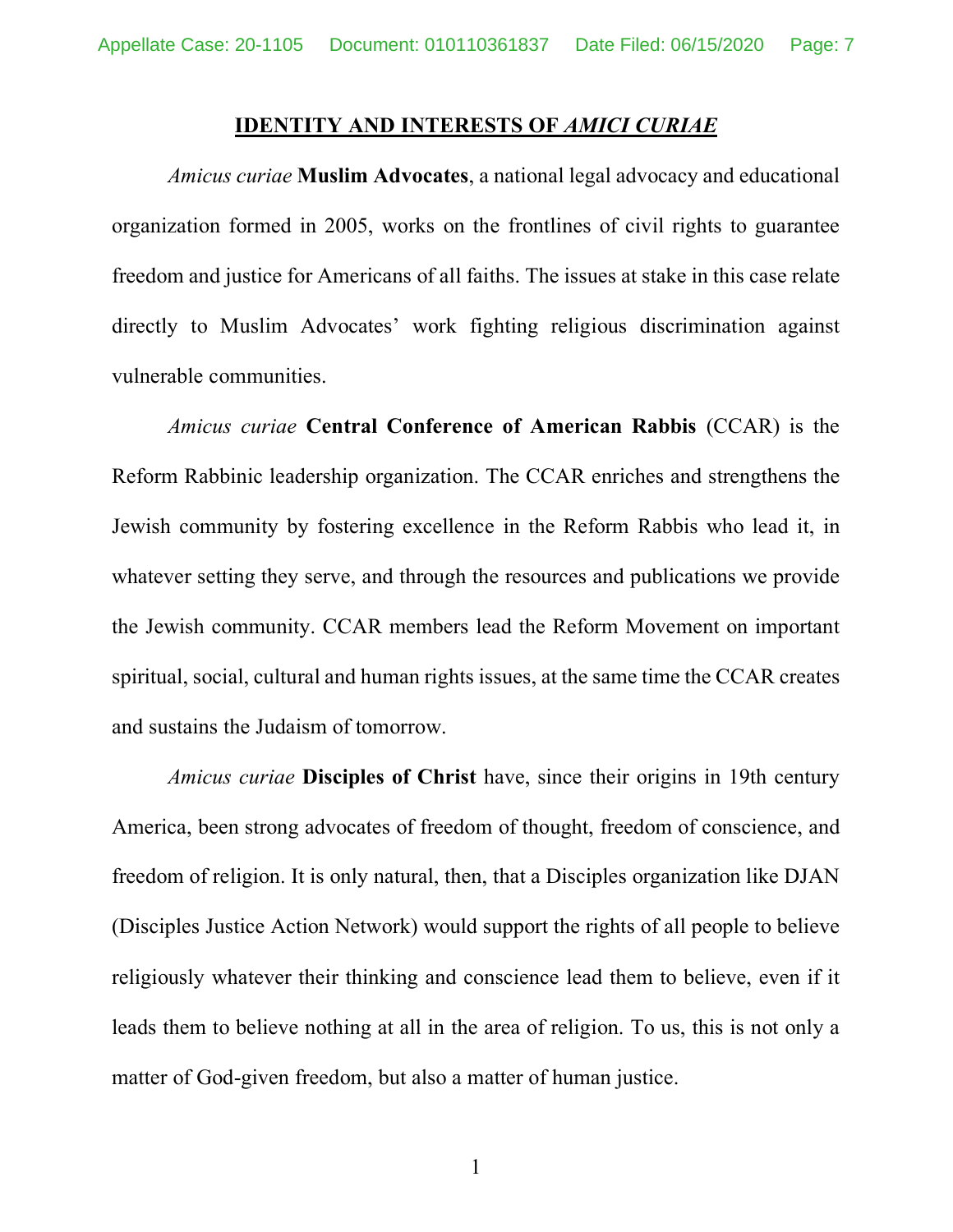### **IDENTITY AND INTERESTS OF** *AMICI CURIAE*

*Amicus curiae* **Muslim Advocates**, a national legal advocacy and educational organization formed in 2005, works on the frontlines of civil rights to guarantee freedom and justice for Americans of all faiths. The issues at stake in this case relate directly to Muslim Advocates' work fighting religious discrimination against vulnerable communities.

*Amicus curiae* **Central Conference of American Rabbis** (CCAR) is the Reform Rabbinic leadership organization. The CCAR enriches and strengthens the Jewish community by fostering excellence in the Reform Rabbis who lead it, in whatever setting they serve, and through the resources and publications we provide the Jewish community. CCAR members lead the Reform Movement on important spiritual, social, cultural and human rights issues, at the same time the CCAR creates and sustains the Judaism of tomorrow.

*Amicus curiae* **Disciples of Christ** have, since their origins in 19th century America, been strong advocates of freedom of thought, freedom of conscience, and freedom of religion. It is only natural, then, that a Disciples organization like DJAN (Disciples Justice Action Network) would support the rights of all people to believe religiously whatever their thinking and conscience lead them to believe, even if it leads them to believe nothing at all in the area of religion. To us, this is not only a matter of God-given freedom, but also a matter of human justice.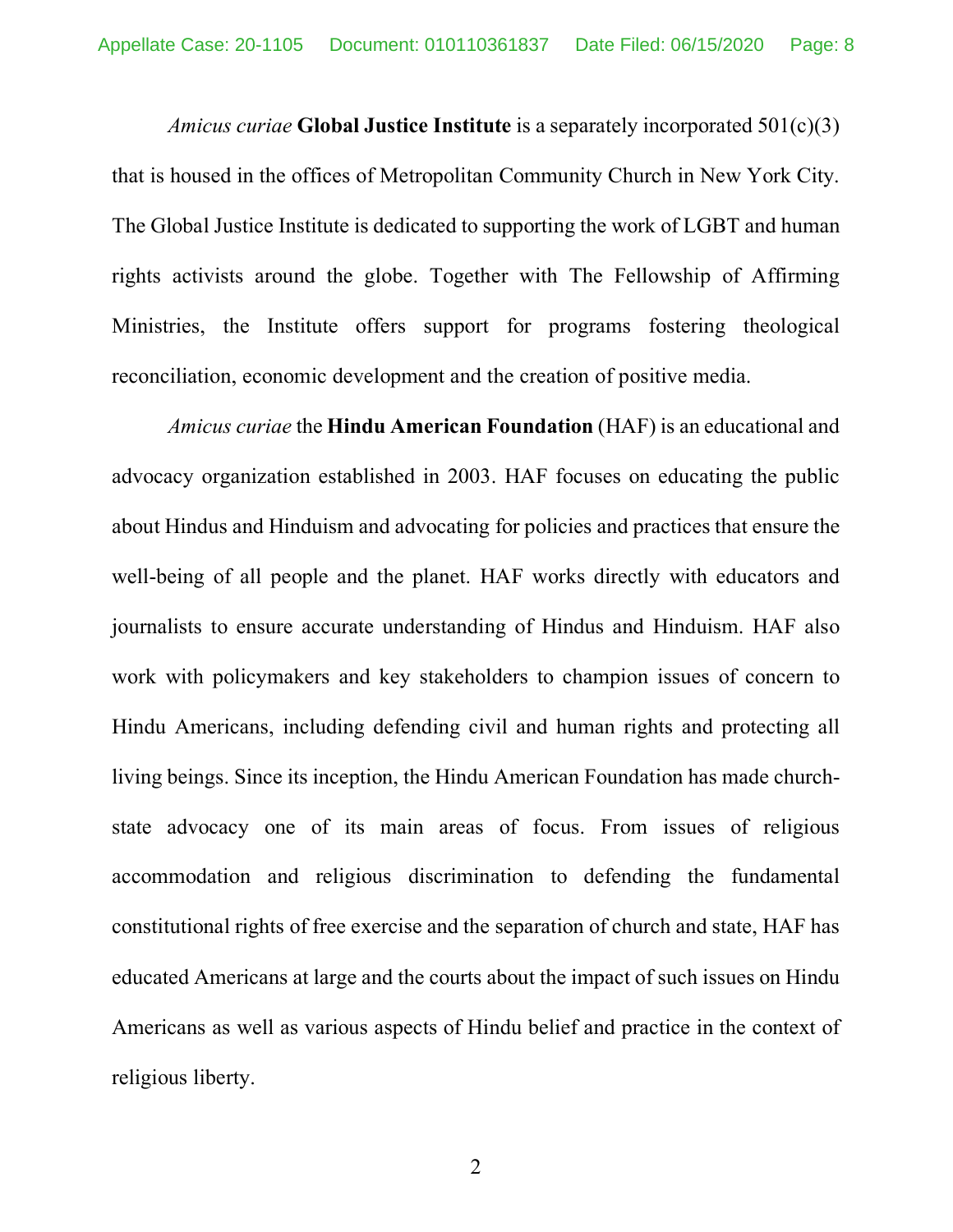*Amicus curiae* **Global Justice Institute** is a separately incorporated 501(c)(3) that is housed in the offices of Metropolitan Community Church in New York City. The Global Justice Institute is dedicated to supporting the work of LGBT and human rights activists around the globe. Together with The Fellowship of Affirming Ministries, the Institute offers support for programs fostering theological reconciliation, economic development and the creation of positive media.

*Amicus curiae* the **Hindu American Foundation** (HAF) is an educational and advocacy organization established in 2003. HAF focuses on educating the public about Hindus and Hinduism and advocating for policies and practices that ensure the well-being of all people and the planet. HAF works directly with educators and journalists to ensure accurate understanding of Hindus and Hinduism. HAF also work with policymakers and key stakeholders to champion issues of concern to Hindu Americans, including defending civil and human rights and protecting all living beings. Since its inception, the Hindu American Foundation has made churchstate advocacy one of its main areas of focus. From issues of religious accommodation and religious discrimination to defending the fundamental constitutional rights of free exercise and the separation of church and state, HAF has educated Americans at large and the courts about the impact of such issues on Hindu Americans as well as various aspects of Hindu belief and practice in the context of religious liberty.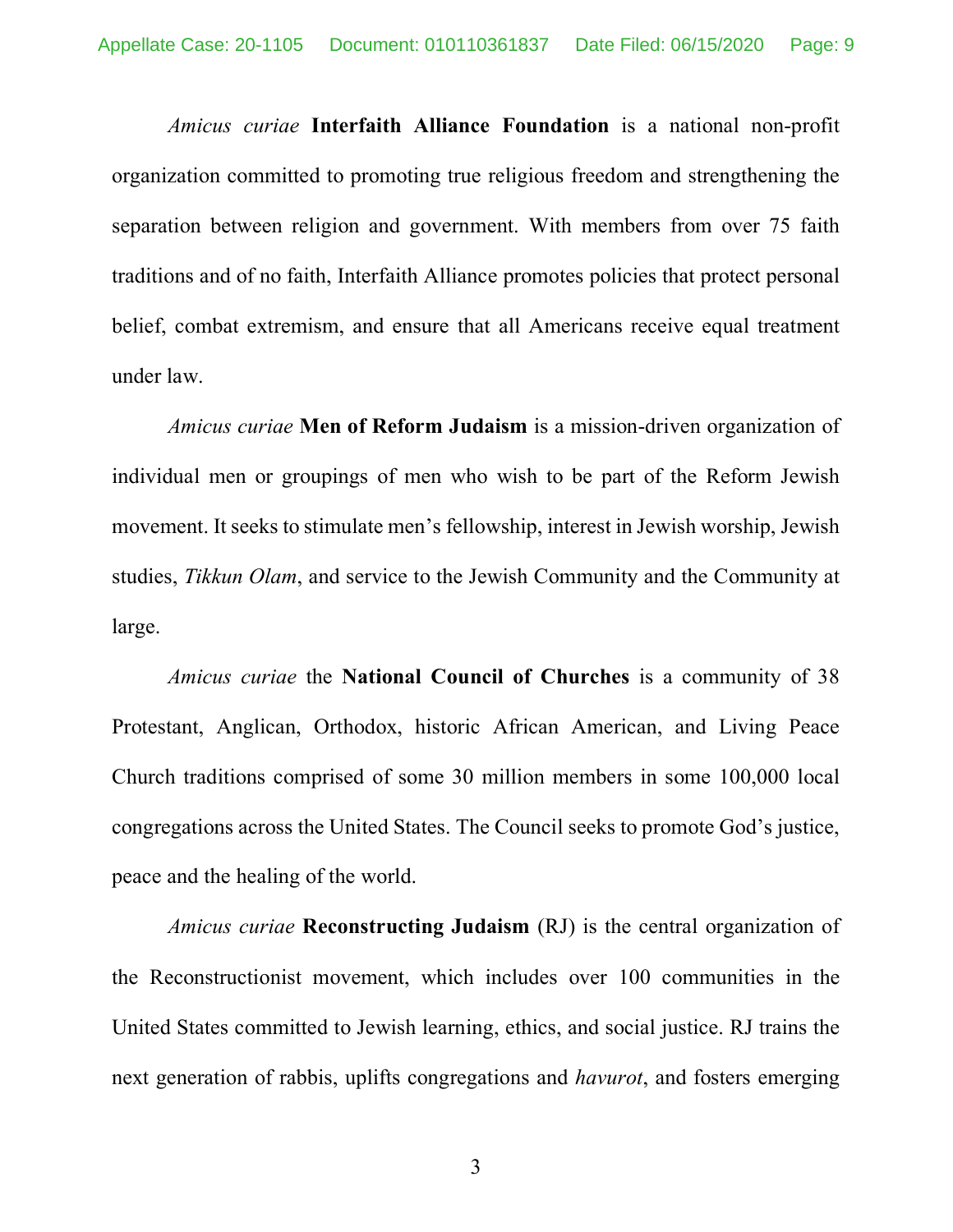*Amicus curiae* **Interfaith Alliance Foundation** is a national non-profit organization committed to promoting true religious freedom and strengthening the separation between religion and government. With members from over 75 faith traditions and of no faith, Interfaith Alliance promotes policies that protect personal belief, combat extremism, and ensure that all Americans receive equal treatment under law.

*Amicus curiae* **Men of Reform Judaism** is a mission-driven organization of individual men or groupings of men who wish to be part of the Reform Jewish movement. It seeks to stimulate men's fellowship, interest in Jewish worship, Jewish studies, *Tikkun Olam*, and service to the Jewish Community and the Community at large.

*Amicus curiae* the **National Council of Churches** is a community of 38 Protestant, Anglican, Orthodox, historic African American, and Living Peace Church traditions comprised of some 30 million members in some 100,000 local congregations across the United States. The Council seeks to promote God's justice, peace and the healing of the world.

*Amicus curiae* **Reconstructing Judaism** (RJ) is the central organization of the Reconstructionist movement, which includes over 100 communities in the United States committed to Jewish learning, ethics, and social justice. RJ trains the next generation of rabbis, uplifts congregations and *havurot*, and fosters emerging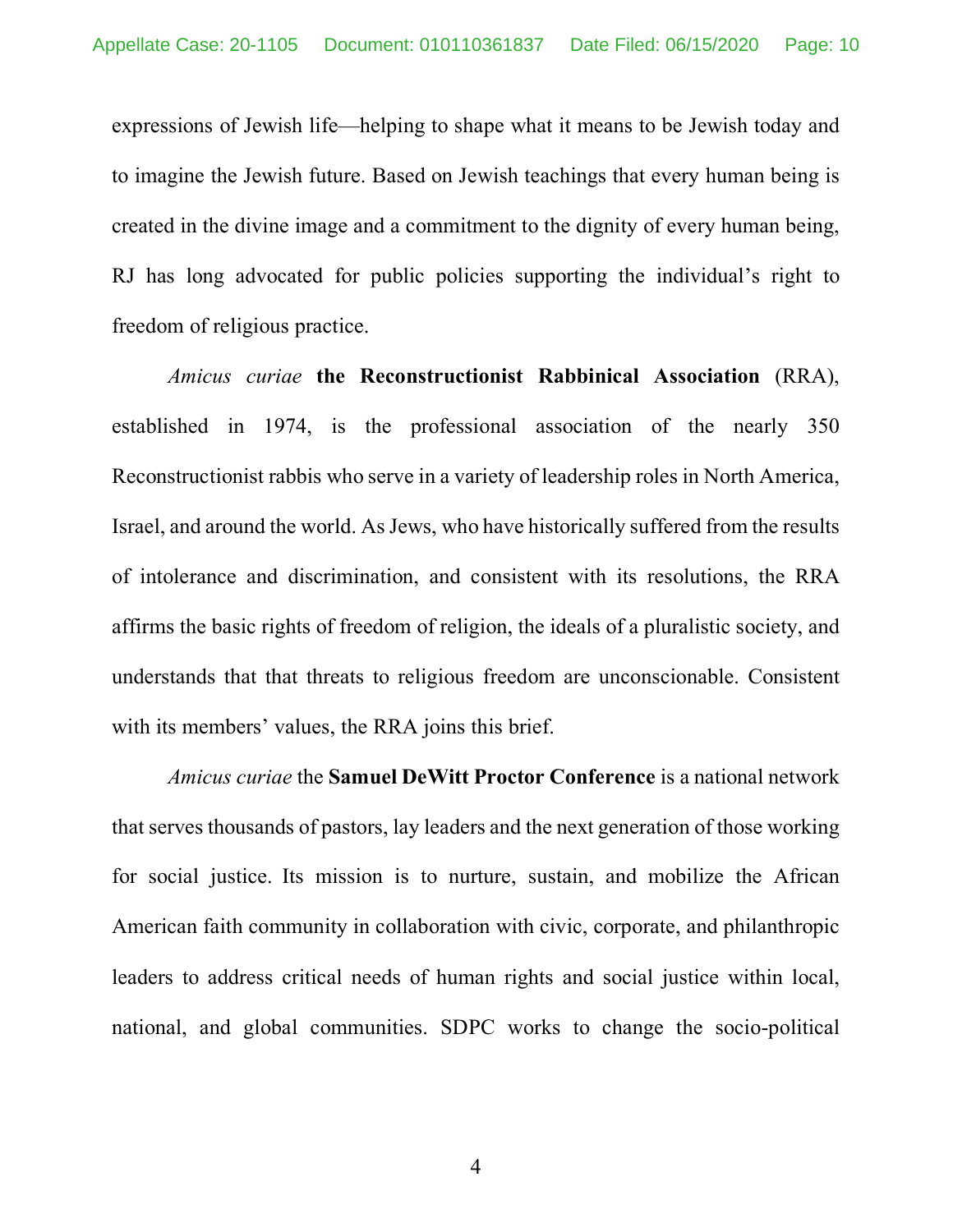expressions of Jewish life—helping to shape what it means to be Jewish today and to imagine the Jewish future. Based on Jewish teachings that every human being is created in the divine image and a commitment to the dignity of every human being, RJ has long advocated for public policies supporting the individual's right to freedom of religious practice.

*Amicus curiae* **the Reconstructionist Rabbinical Association** (RRA), established in 1974, is the professional association of the nearly 350 Reconstructionist rabbis who serve in a variety of leadership roles in North America, Israel, and around the world. As Jews, who have historically suffered from the results of intolerance and discrimination, and consistent with its resolutions, the RRA affirms the basic rights of freedom of religion, the ideals of a pluralistic society, and understands that that threats to religious freedom are unconscionable. Consistent with its members' values, the RRA joins this brief.

*Amicus curiae* the **Samuel DeWitt Proctor Conference** is a national network that serves thousands of pastors, lay leaders and the next generation of those working for social justice. Its mission is to nurture, sustain, and mobilize the African American faith community in collaboration with civic, corporate, and philanthropic leaders to address critical needs of human rights and social justice within local, national, and global communities. SDPC works to change the socio-political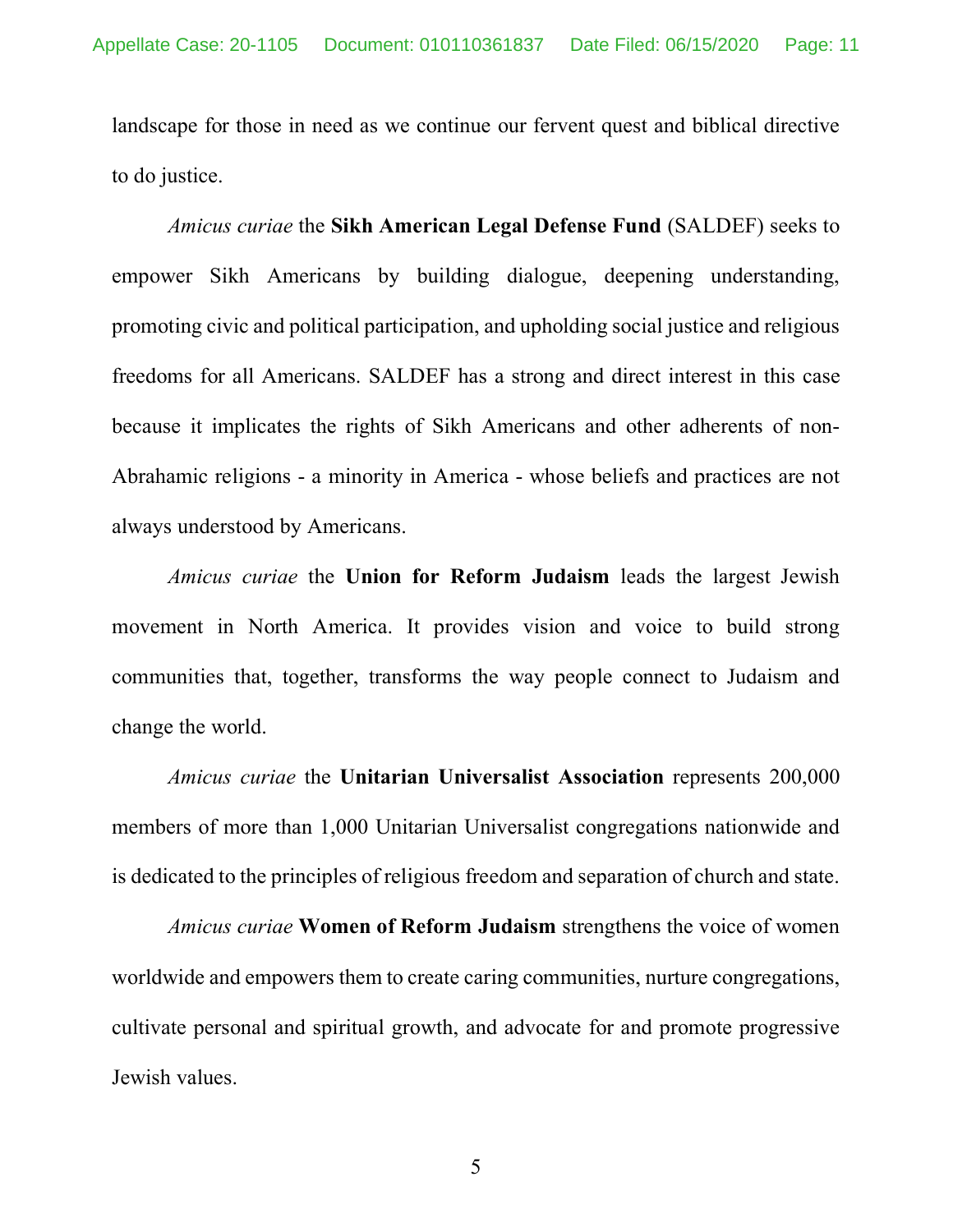landscape for those in need as we continue our fervent quest and biblical directive to do justice.

*Amicus curiae* the **Sikh American Legal Defense Fund** (SALDEF) seeks to empower Sikh Americans by building dialogue, deepening understanding, promoting civic and political participation, and upholding social justice and religious freedoms for all Americans. SALDEF has a strong and direct interest in this case because it implicates the rights of Sikh Americans and other adherents of non-Abrahamic religions - a minority in America - whose beliefs and practices are not always understood by Americans.

*Amicus curiae* the **Union for Reform Judaism** leads the largest Jewish movement in North America. It provides vision and voice to build strong communities that, together, transforms the way people connect to Judaism and change the world.

*Amicus curiae* the **Unitarian Universalist Association** represents 200,000 members of more than 1,000 Unitarian Universalist congregations nationwide and is dedicated to the principles of religious freedom and separation of church and state.

*Amicus curiae* **Women of Reform Judaism** strengthens the voice of women worldwide and empowers them to create caring communities, nurture congregations, cultivate personal and spiritual growth, and advocate for and promote progressive Jewish values.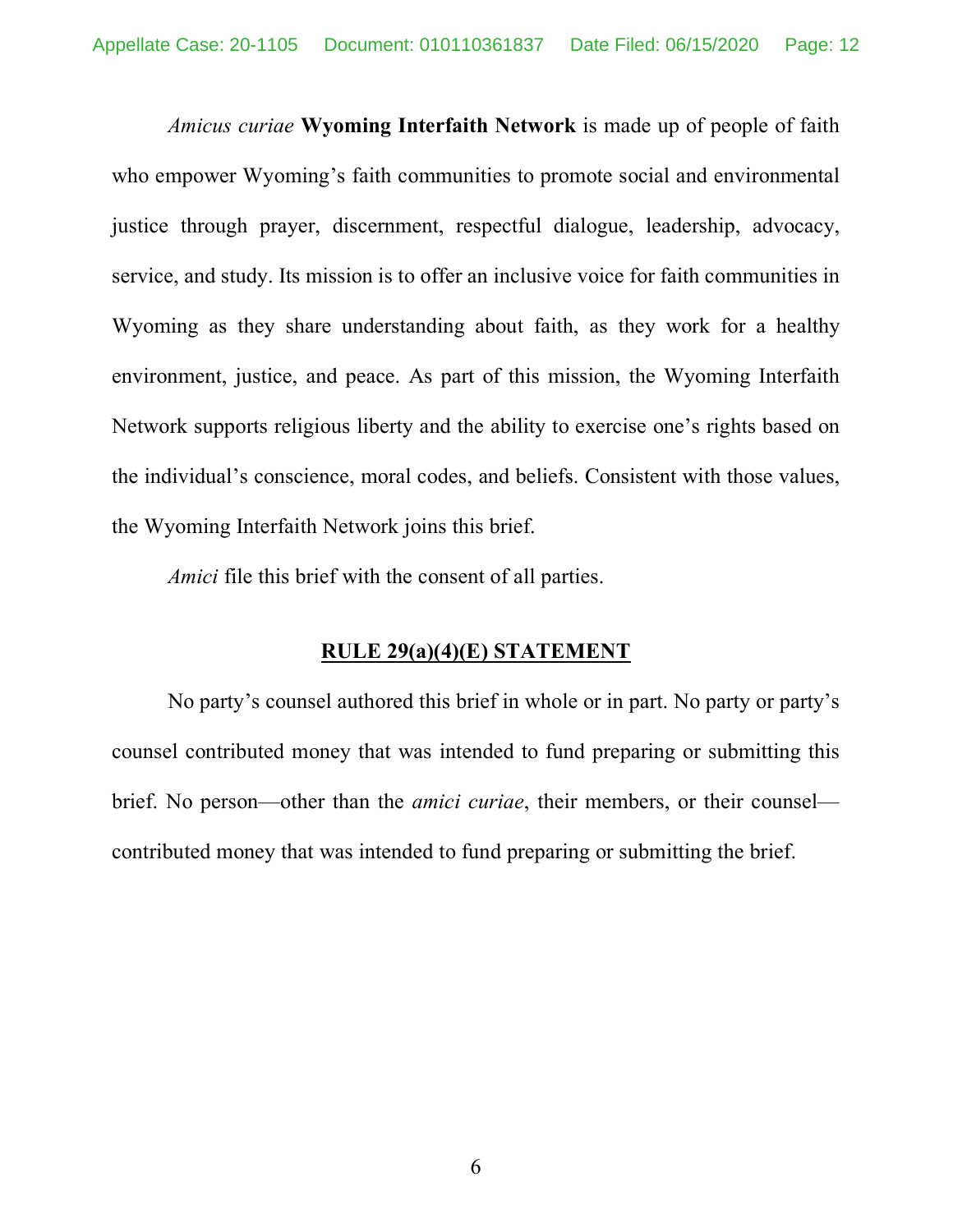*Amicus curiae* **Wyoming Interfaith Network** is made up of people of faith who empower Wyoming's faith communities to promote social and environmental justice through prayer, discernment, respectful dialogue, leadership, advocacy, service, and study. Its mission is to offer an inclusive voice for faith communities in Wyoming as they share understanding about faith, as they work for a healthy environment, justice, and peace. As part of this mission, the Wyoming Interfaith Network supports religious liberty and the ability to exercise one's rights based on the individual's conscience, moral codes, and beliefs. Consistent with those values, the Wyoming Interfaith Network joins this brief.

*Amici* file this brief with the consent of all parties.

#### **RULE 29(a)(4)(E) STATEMENT**

No party's counsel authored this brief in whole or in part. No party or party's counsel contributed money that was intended to fund preparing or submitting this brief. No person—other than the *amici curiae*, their members, or their counsel contributed money that was intended to fund preparing or submitting the brief.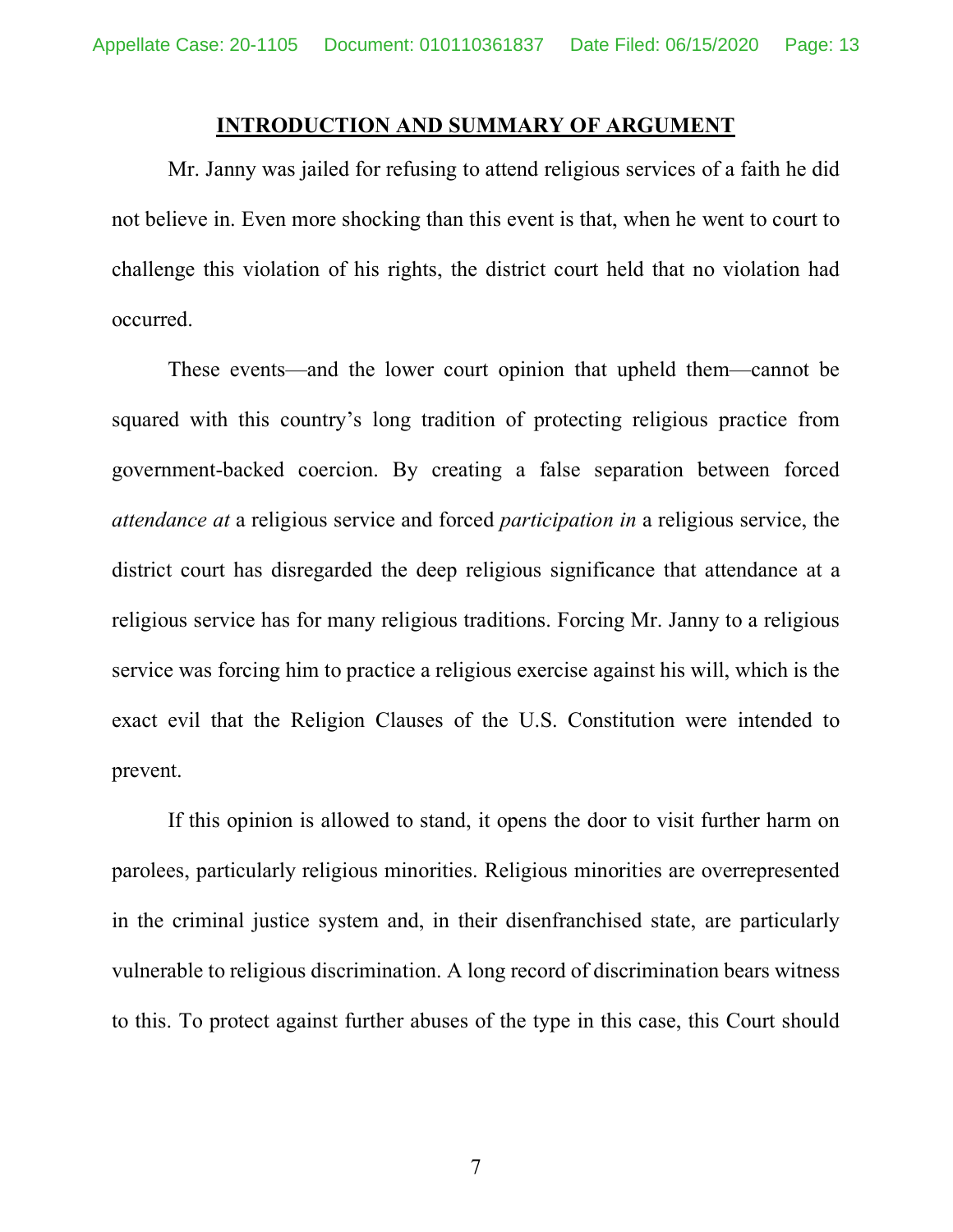#### **INTRODUCTION AND SUMMARY OF ARGUMENT**

Mr. Janny was jailed for refusing to attend religious services of a faith he did not believe in. Even more shocking than this event is that, when he went to court to challenge this violation of his rights, the district court held that no violation had occurred.

These events—and the lower court opinion that upheld them—cannot be squared with this country's long tradition of protecting religious practice from government-backed coercion. By creating a false separation between forced *attendance at* a religious service and forced *participation in* a religious service, the district court has disregarded the deep religious significance that attendance at a religious service has for many religious traditions. Forcing Mr. Janny to a religious service was forcing him to practice a religious exercise against his will, which is the exact evil that the Religion Clauses of the U.S. Constitution were intended to prevent.

If this opinion is allowed to stand, it opens the door to visit further harm on parolees, particularly religious minorities. Religious minorities are overrepresented in the criminal justice system and, in their disenfranchised state, are particularly vulnerable to religious discrimination. A long record of discrimination bears witness to this. To protect against further abuses of the type in this case, this Court should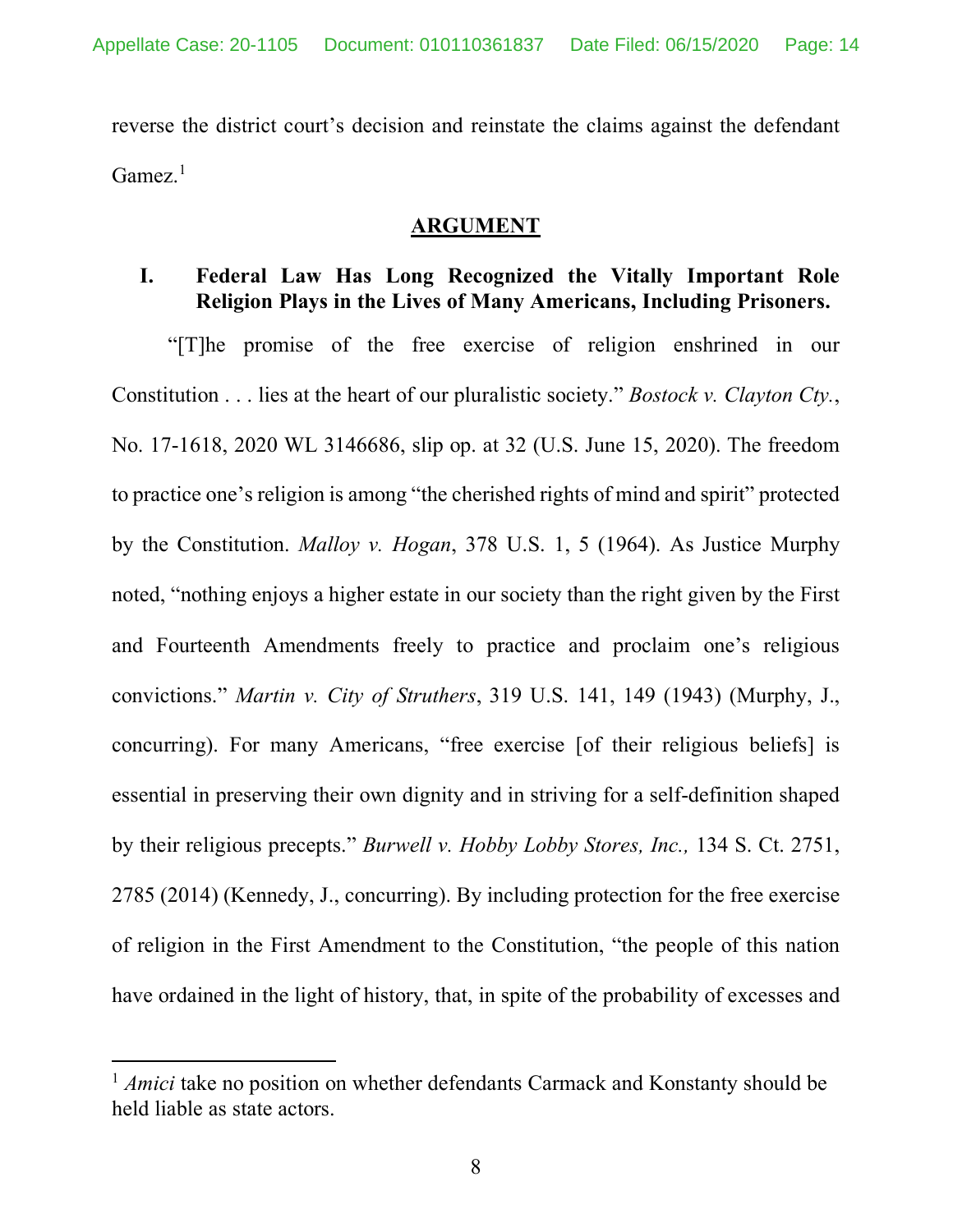reverse the district court's decision and reinstate the claims against the defendant Gamez.<sup>1</sup>

### **ARGUMENT**

## **I. Federal Law Has Long Recognized the Vitally Important Role Religion Plays in the Lives of Many Americans, Including Prisoners.**

"[T]he promise of the free exercise of religion enshrined in our Constitution . . . lies at the heart of our pluralistic society." *Bostock v. Clayton Cty.*, No. 17-1618, 2020 WL 3146686, slip op. at 32 (U.S. June 15, 2020). The freedom to practice one's religion is among "the cherished rights of mind and spirit" protected by the Constitution. *Malloy v. Hogan*, 378 U.S. 1, 5 (1964). As Justice Murphy noted, "nothing enjoys a higher estate in our society than the right given by the First and Fourteenth Amendments freely to practice and proclaim one's religious convictions." *Martin v. City of Struthers*, 319 U.S. 141, 149 (1943) (Murphy, J., concurring). For many Americans, "free exercise [of their religious beliefs] is essential in preserving their own dignity and in striving for a self-definition shaped by their religious precepts." *Burwell v. Hobby Lobby Stores, Inc.,* 134 S. Ct. 2751, 2785 (2014) (Kennedy, J., concurring). By including protection for the free exercise of religion in the First Amendment to the Constitution, "the people of this nation have ordained in the light of history, that, in spite of the probability of excesses and

 $\overline{a}$ 

<sup>&</sup>lt;sup>1</sup> *Amici* take no position on whether defendants Carmack and Konstanty should be held liable as state actors.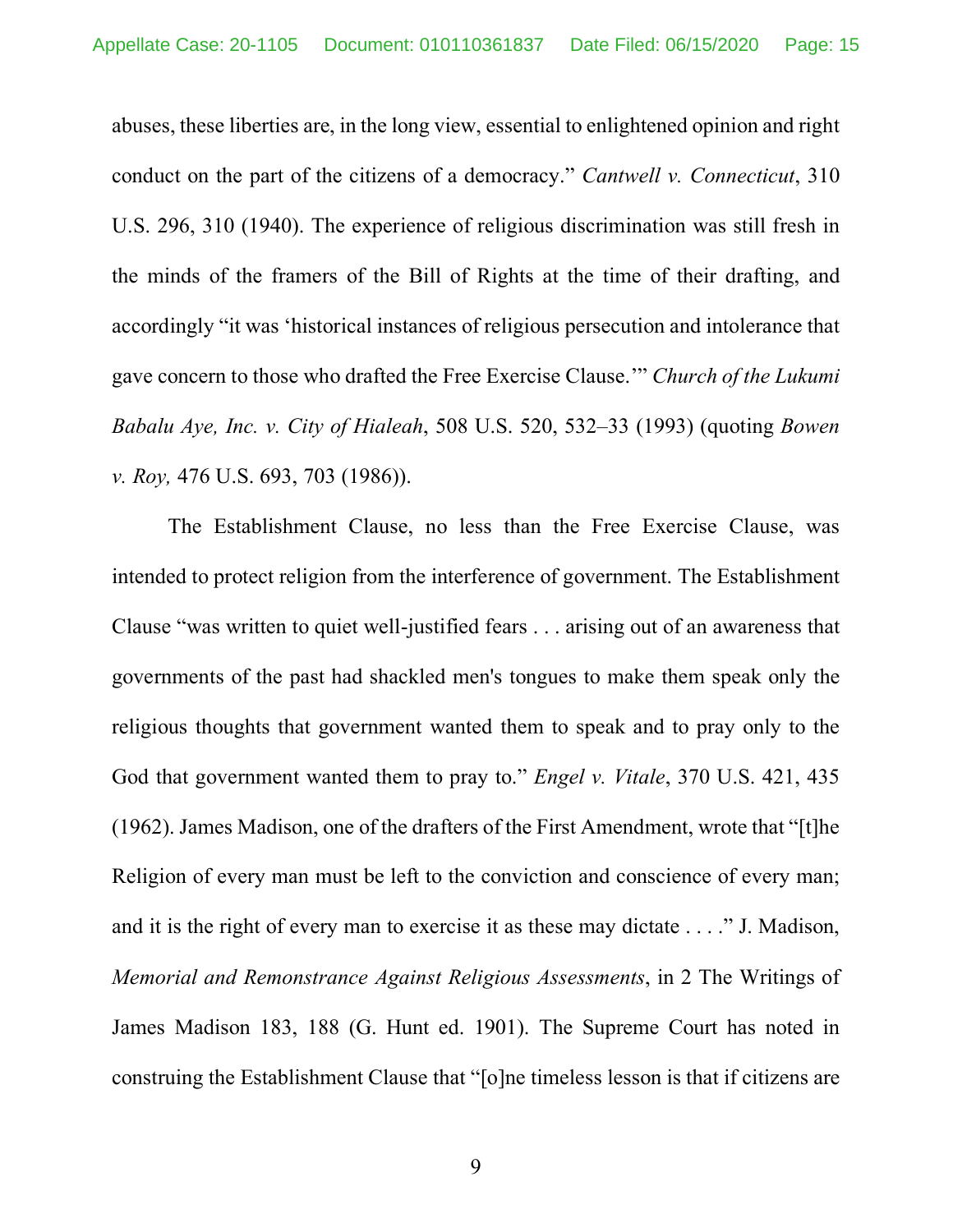abuses, these liberties are, in the long view, essential to enlightened opinion and right conduct on the part of the citizens of a democracy." *Cantwell v. Connecticut*, 310 U.S. 296, 310 (1940). The experience of religious discrimination was still fresh in the minds of the framers of the Bill of Rights at the time of their drafting, and accordingly "it was 'historical instances of religious persecution and intolerance that gave concern to those who drafted the Free Exercise Clause.'" *Church of the Lukumi Babalu Aye, Inc. v. City of Hialeah*, 508 U.S. 520, 532–33 (1993) (quoting *Bowen v. Roy,* 476 U.S. 693, 703 (1986)).

The Establishment Clause, no less than the Free Exercise Clause, was intended to protect religion from the interference of government. The Establishment Clause "was written to quiet well-justified fears . . . arising out of an awareness that governments of the past had shackled men's tongues to make them speak only the religious thoughts that government wanted them to speak and to pray only to the God that government wanted them to pray to." *Engel v. Vitale*, 370 U.S. 421, 435 (1962). James Madison, one of the drafters of the First Amendment, wrote that "[t]he Religion of every man must be left to the conviction and conscience of every man; and it is the right of every man to exercise it as these may dictate . . . ." J. Madison, *Memorial and Remonstrance Against Religious Assessments*, in 2 The Writings of James Madison 183, 188 (G. Hunt ed. 1901). The Supreme Court has noted in construing the Establishment Clause that "[o]ne timeless lesson is that if citizens are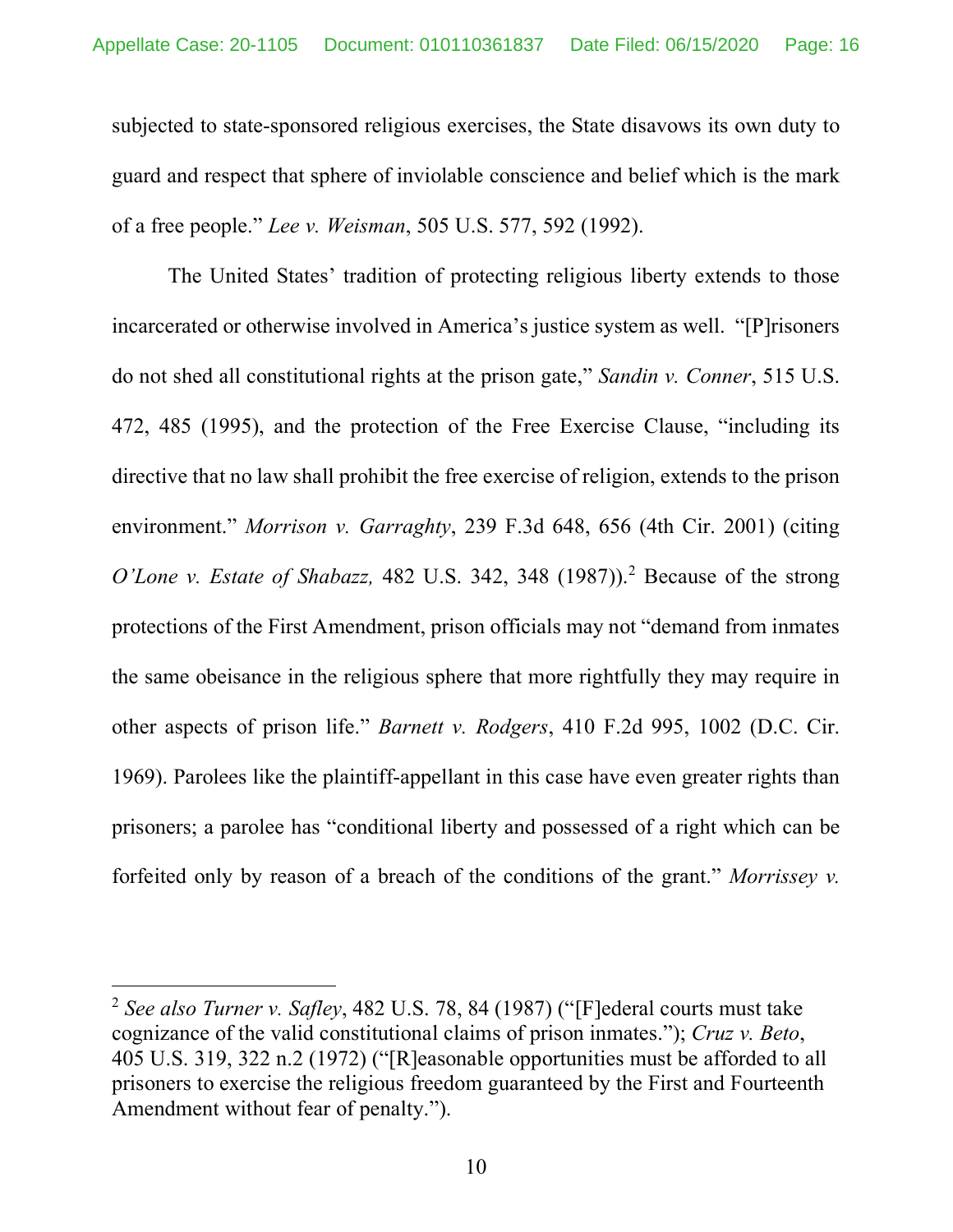subjected to state-sponsored religious exercises, the State disavows its own duty to guard and respect that sphere of inviolable conscience and belief which is the mark of a free people." *Lee v. Weisman*, 505 U.S. 577, 592 (1992).

The United States' tradition of protecting religious liberty extends to those incarcerated or otherwise involved in America's justice system as well. "[P]risoners do not shed all constitutional rights at the prison gate," *Sandin v. Conner*, 515 U.S. 472, 485 (1995), and the protection of the Free Exercise Clause, "including its directive that no law shall prohibit the free exercise of religion, extends to the prison environment." *Morrison v. Garraghty*, 239 F.3d 648, 656 (4th Cir. 2001) (citing *O'Lone v. Estate of Shabazz,* 482 U.S. 342, 348 (1987)). <sup>2</sup> Because of the strong protections of the First Amendment, prison officials may not "demand from inmates the same obeisance in the religious sphere that more rightfully they may require in other aspects of prison life." *Barnett v. Rodgers*, 410 F.2d 995, 1002 (D.C. Cir. 1969). Parolees like the plaintiff-appellant in this case have even greater rights than prisoners; a parolee has "conditional liberty and possessed of a right which can be forfeited only by reason of a breach of the conditions of the grant." *Morrissey v.* 

 $\overline{\phantom{a}}$ 

<sup>2</sup> *See also Turner v. Safley*, 482 U.S. 78, 84 (1987) ("[F]ederal courts must take cognizance of the valid constitutional claims of prison inmates."); *Cruz v. Beto*, 405 U.S. 319, 322 n.2 (1972) ("[R]easonable opportunities must be afforded to all prisoners to exercise the religious freedom guaranteed by the First and Fourteenth Amendment without fear of penalty.").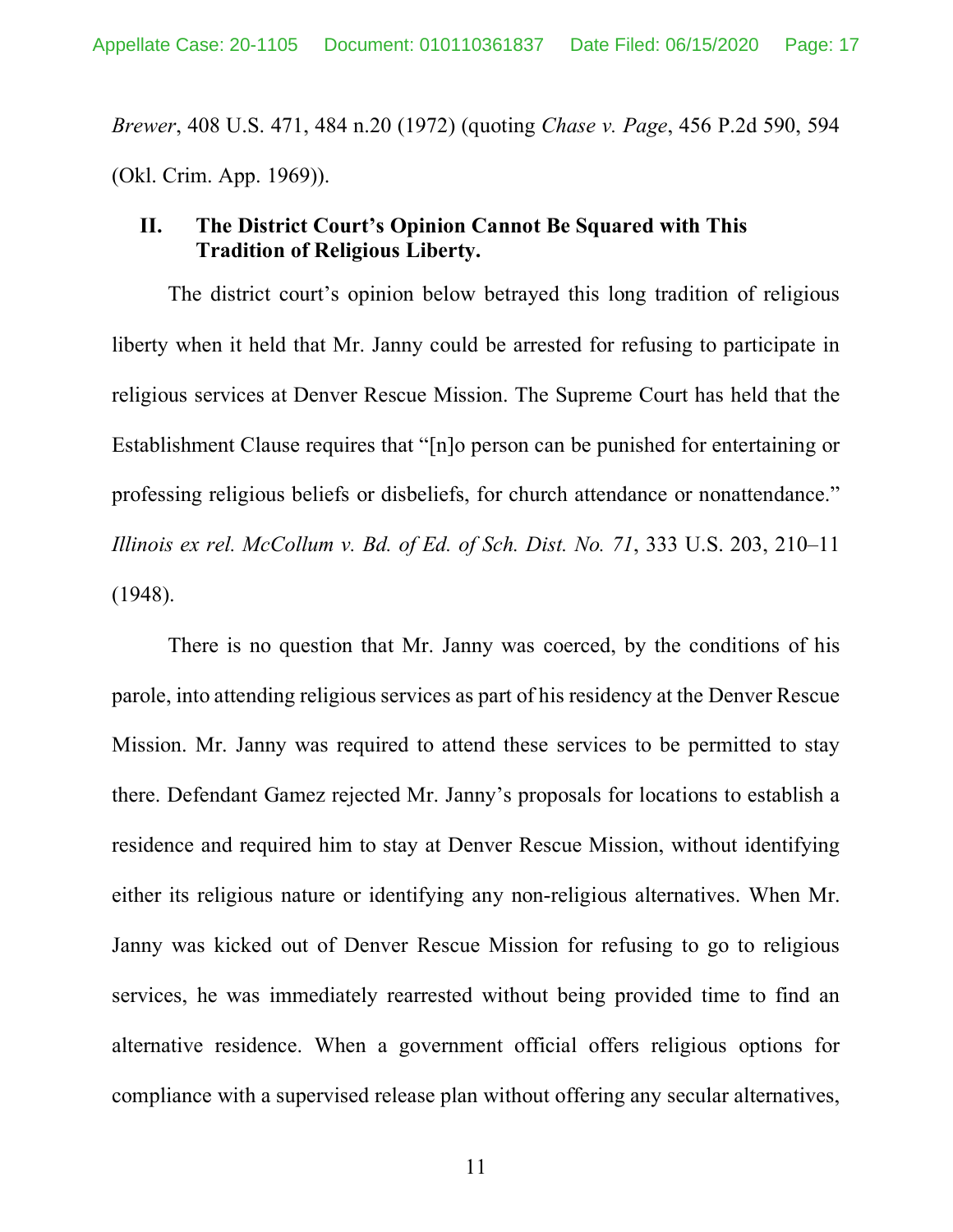*Brewer*, 408 U.S. 471, 484 n.20 (1972) (quoting *Chase v. Page*, 456 P.2d 590, 594 (Okl. Crim. App. 1969)).

### **II. The District Court's Opinion Cannot Be Squared with This Tradition of Religious Liberty.**

The district court's opinion below betrayed this long tradition of religious liberty when it held that Mr. Janny could be arrested for refusing to participate in religious services at Denver Rescue Mission. The Supreme Court has held that the Establishment Clause requires that "[n]o person can be punished for entertaining or professing religious beliefs or disbeliefs, for church attendance or nonattendance." *Illinois ex rel. McCollum v. Bd. of Ed. of Sch. Dist. No. 71*, 333 U.S. 203, 210–11 (1948).

There is no question that Mr. Janny was coerced, by the conditions of his parole, into attending religious services as part of his residency at the Denver Rescue Mission. Mr. Janny was required to attend these services to be permitted to stay there. Defendant Gamez rejected Mr. Janny's proposals for locations to establish a residence and required him to stay at Denver Rescue Mission, without identifying either its religious nature or identifying any non-religious alternatives. When Mr. Janny was kicked out of Denver Rescue Mission for refusing to go to religious services, he was immediately rearrested without being provided time to find an alternative residence. When a government official offers religious options for compliance with a supervised release plan without offering any secular alternatives,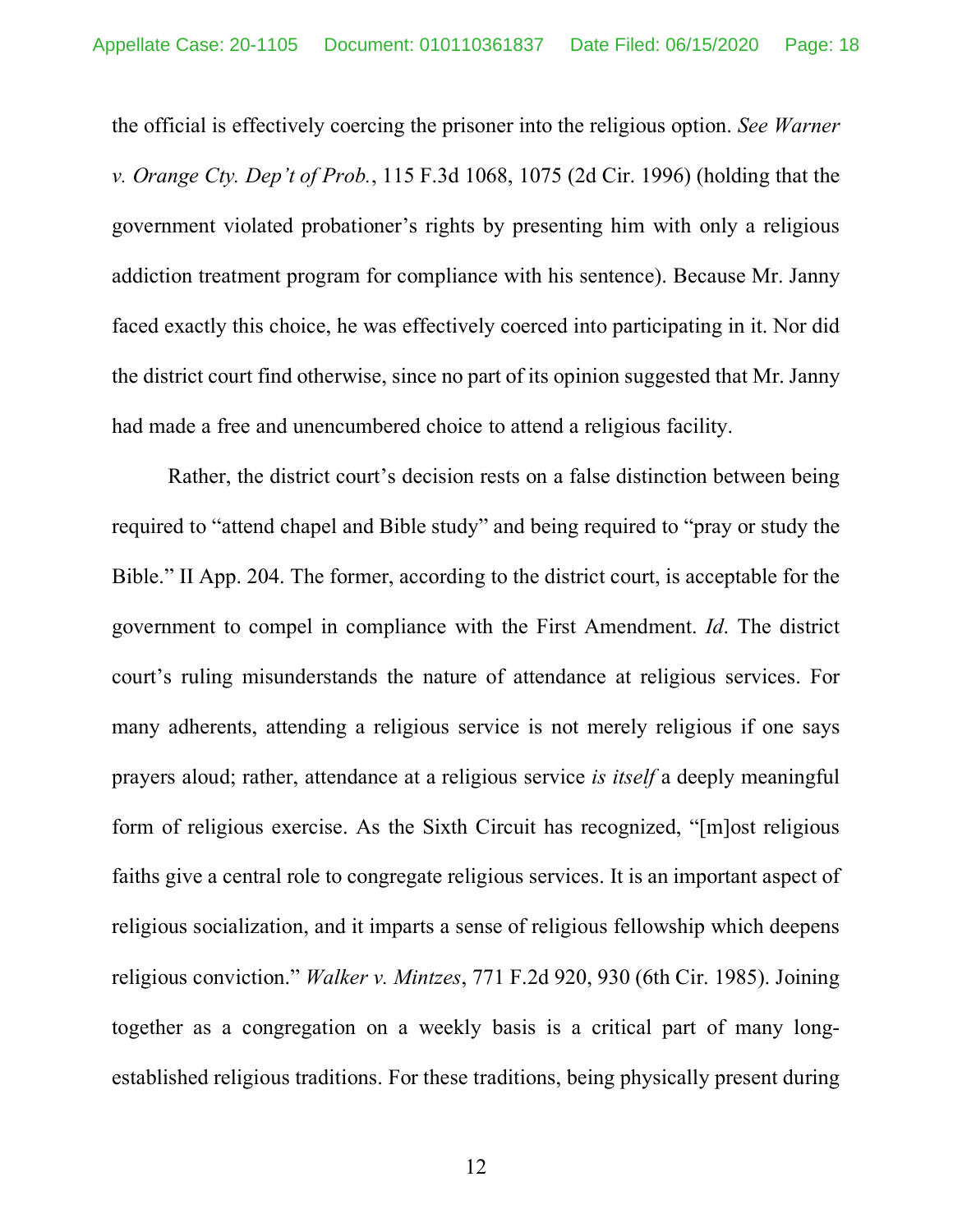the official is effectively coercing the prisoner into the religious option. *See Warner v. Orange Cty. Dep't of Prob.*, 115 F.3d 1068, 1075 (2d Cir. 1996) (holding that the government violated probationer's rights by presenting him with only a religious addiction treatment program for compliance with his sentence). Because Mr. Janny faced exactly this choice, he was effectively coerced into participating in it. Nor did the district court find otherwise, since no part of its opinion suggested that Mr. Janny had made a free and unencumbered choice to attend a religious facility.

Rather, the district court's decision rests on a false distinction between being required to "attend chapel and Bible study" and being required to "pray or study the Bible." II App. 204. The former, according to the district court, is acceptable for the government to compel in compliance with the First Amendment. *Id*. The district court's ruling misunderstands the nature of attendance at religious services. For many adherents, attending a religious service is not merely religious if one says prayers aloud; rather, attendance at a religious service *is itself* a deeply meaningful form of religious exercise. As the Sixth Circuit has recognized, "[m]ost religious faiths give a central role to congregate religious services. It is an important aspect of religious socialization, and it imparts a sense of religious fellowship which deepens religious conviction." *Walker v. Mintzes*, 771 F.2d 920, 930 (6th Cir. 1985). Joining together as a congregation on a weekly basis is a critical part of many longestablished religious traditions. For these traditions, being physically present during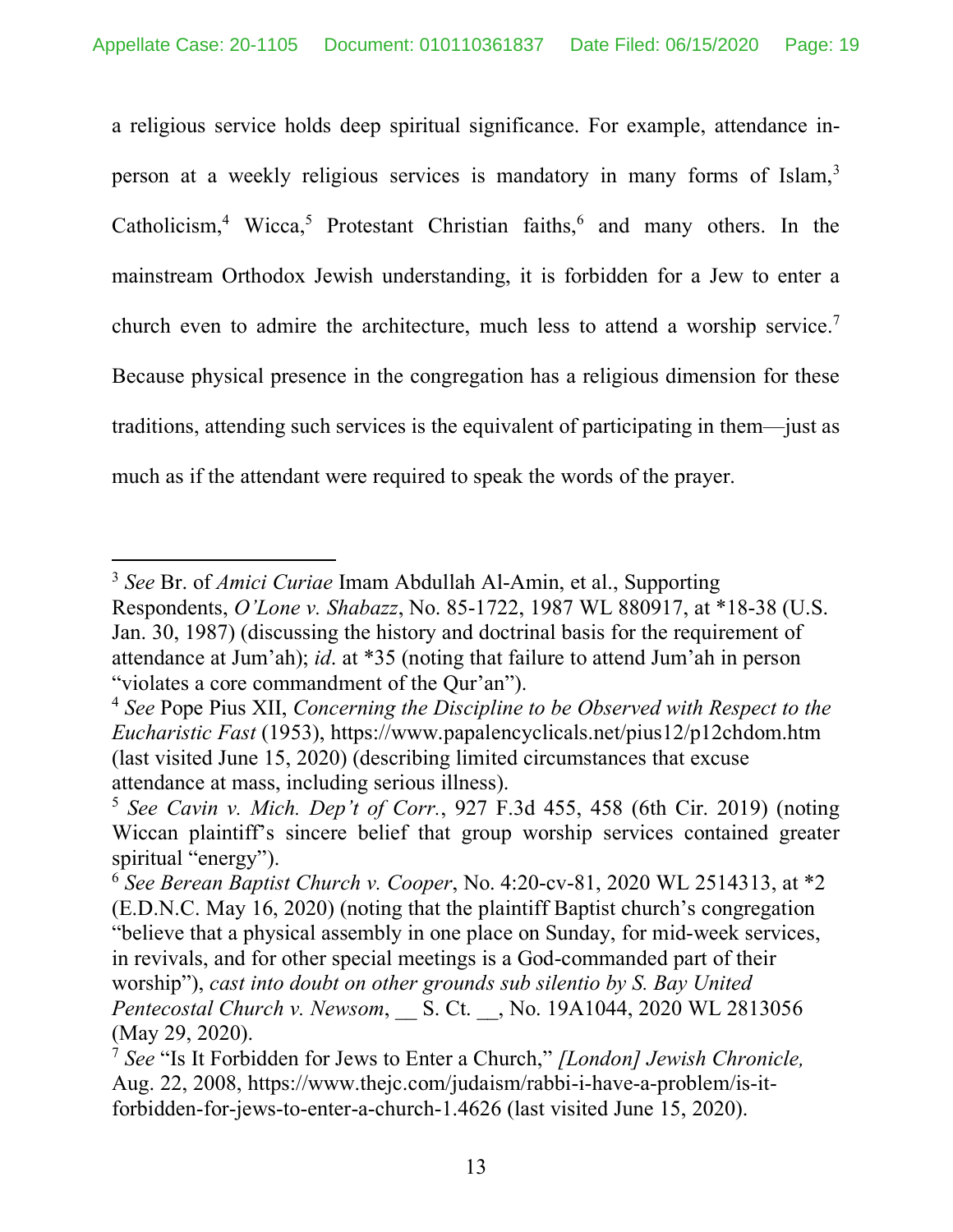a religious service holds deep spiritual significance. For example, attendance inperson at a weekly religious services is mandatory in many forms of Islam,<sup>3</sup> Catholicism,<sup>4</sup> Wicca,<sup>5</sup> Protestant Christian faiths,<sup>6</sup> and many others. In the mainstream Orthodox Jewish understanding, it is forbidden for a Jew to enter a church even to admire the architecture, much less to attend a worship service.<sup>7</sup> Because physical presence in the congregation has a religious dimension for these traditions, attending such services is the equivalent of participating in them—just as much as if the attendant were required to speak the words of the prayer.

 $\overline{a}$ 

<sup>3</sup> *See* Br. of *Amici Curiae* Imam Abdullah Al-Amin, et al., Supporting Respondents, *O'Lone v. Shabazz*, No. 85-1722, 1987 WL 880917, at \*18-38 (U.S. Jan. 30, 1987) (discussing the history and doctrinal basis for the requirement of attendance at Jum'ah); *id*. at \*35 (noting that failure to attend Jum'ah in person "violates a core commandment of the Qur'an").

<sup>4</sup> *See* Pope Pius XII, *Concerning the Discipline to be Observed with Respect to the Eucharistic Fast* (1953), https://www.papalencyclicals.net/pius12/p12chdom.htm (last visited June 15, 2020) (describing limited circumstances that excuse attendance at mass, including serious illness).

<sup>5</sup> *See Cavin v. Mich. Dep't of Corr.*, 927 F.3d 455, 458 (6th Cir. 2019) (noting Wiccan plaintiff's sincere belief that group worship services contained greater spiritual "energy").

<sup>6</sup> *See Berean Baptist Church v. Cooper*, No. 4:20-cv-81, 2020 WL 2514313, at \*2 (E.D.N.C. May 16, 2020) (noting that the plaintiff Baptist church's congregation "believe that a physical assembly in one place on Sunday, for mid-week services, in revivals, and for other special meetings is a God-commanded part of their worship"), *cast into doubt on other grounds sub silentio by S. Bay United Pentecostal Church v. Newsom*, \_\_ S. Ct. \_\_, No. 19A1044, 2020 WL 2813056 (May 29, 2020).

<sup>7</sup> *See* "Is It Forbidden for Jews to Enter a Church," *[London] Jewish Chronicle,*  Aug. 22, 2008, https://www.thejc.com/judaism/rabbi-i-have-a-problem/is-itforbidden-for-jews-to-enter-a-church-1.4626 (last visited June 15, 2020).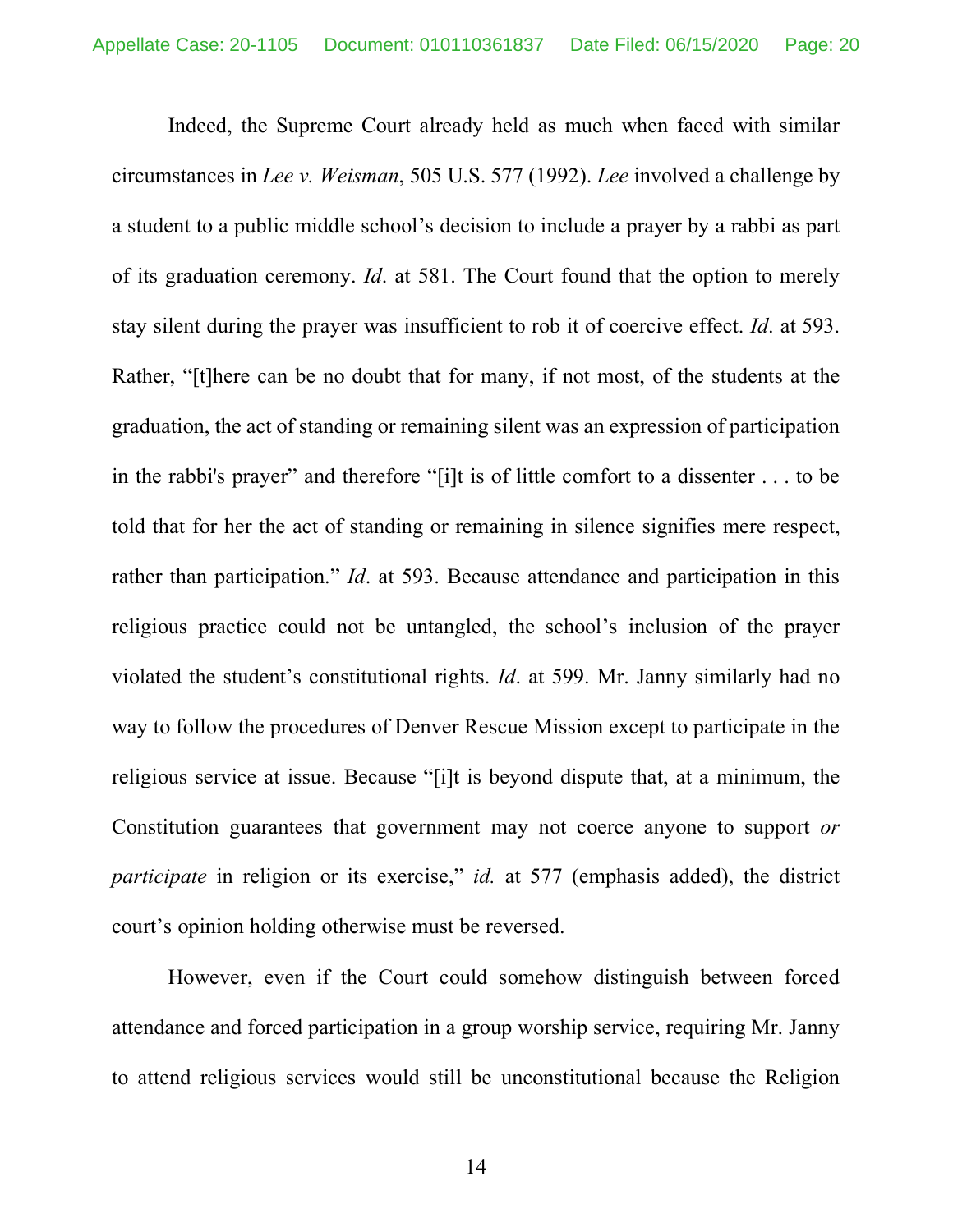Indeed, the Supreme Court already held as much when faced with similar circumstances in *Lee v. Weisman*, 505 U.S. 577 (1992). *Lee* involved a challenge by a student to a public middle school's decision to include a prayer by a rabbi as part of its graduation ceremony. *Id*. at 581. The Court found that the option to merely stay silent during the prayer was insufficient to rob it of coercive effect. *Id*. at 593. Rather, "[t]here can be no doubt that for many, if not most, of the students at the graduation, the act of standing or remaining silent was an expression of participation in the rabbi's prayer" and therefore "[i]t is of little comfort to a dissenter . . . to be told that for her the act of standing or remaining in silence signifies mere respect, rather than participation." *Id*. at 593. Because attendance and participation in this religious practice could not be untangled, the school's inclusion of the prayer violated the student's constitutional rights. *Id*. at 599. Mr. Janny similarly had no way to follow the procedures of Denver Rescue Mission except to participate in the religious service at issue. Because "[i]t is beyond dispute that, at a minimum, the Constitution guarantees that government may not coerce anyone to support *or participate* in religion or its exercise," *id.* at 577 (emphasis added), the district court's opinion holding otherwise must be reversed.

However, even if the Court could somehow distinguish between forced attendance and forced participation in a group worship service, requiring Mr. Janny to attend religious services would still be unconstitutional because the Religion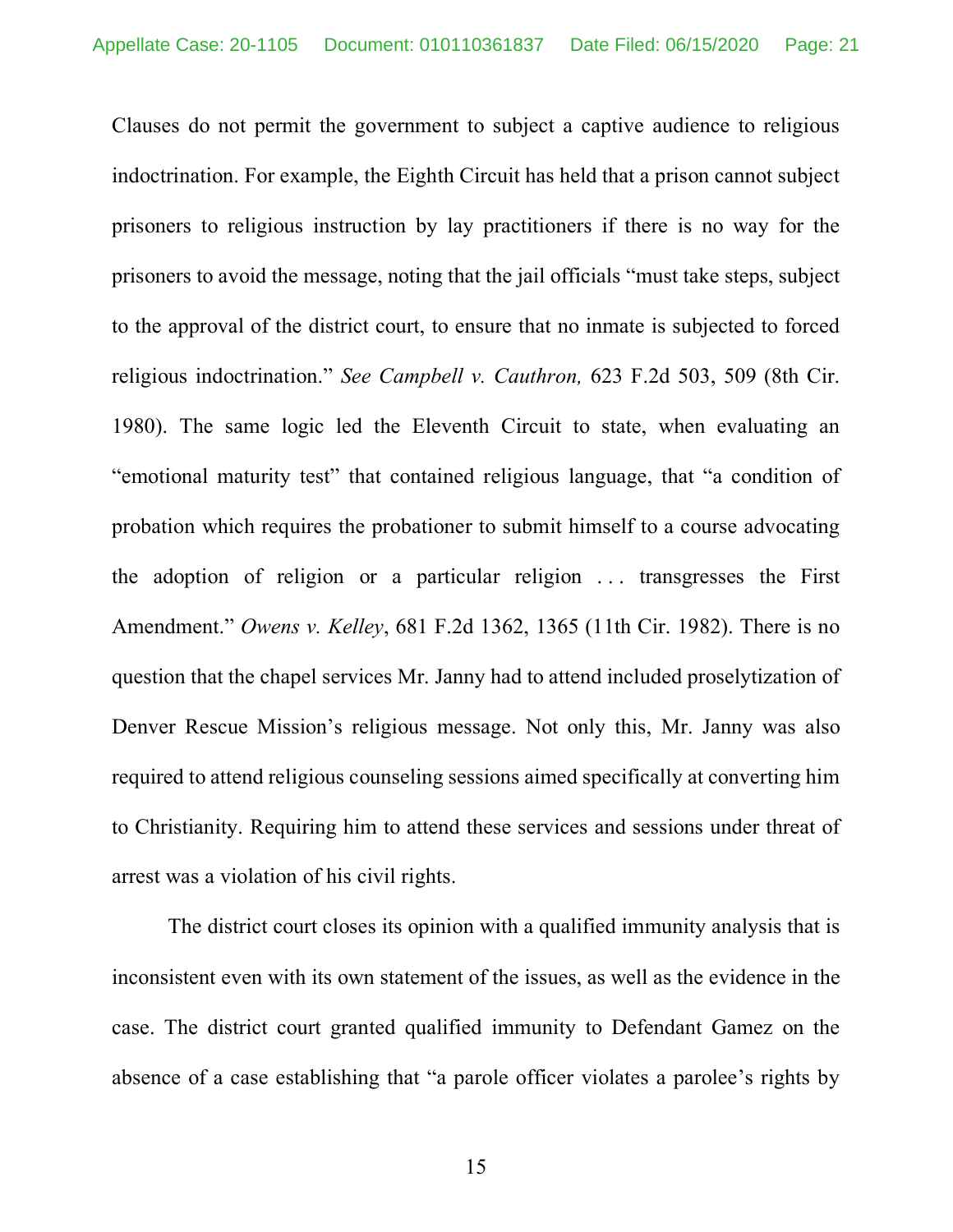Clauses do not permit the government to subject a captive audience to religious indoctrination. For example, the Eighth Circuit has held that a prison cannot subject prisoners to religious instruction by lay practitioners if there is no way for the prisoners to avoid the message, noting that the jail officials "must take steps, subject to the approval of the district court, to ensure that no inmate is subjected to forced religious indoctrination." *See Campbell v. Cauthron,* 623 F.2d 503, 509 (8th Cir. 1980). The same logic led the Eleventh Circuit to state, when evaluating an "emotional maturity test" that contained religious language, that "a condition of probation which requires the probationer to submit himself to a course advocating the adoption of religion or a particular religion . . . transgresses the First Amendment." *Owens v. Kelley*, 681 F.2d 1362, 1365 (11th Cir. 1982). There is no question that the chapel services Mr. Janny had to attend included proselytization of Denver Rescue Mission's religious message. Not only this, Mr. Janny was also required to attend religious counseling sessions aimed specifically at converting him to Christianity. Requiring him to attend these services and sessions under threat of arrest was a violation of his civil rights.

The district court closes its opinion with a qualified immunity analysis that is inconsistent even with its own statement of the issues, as well as the evidence in the case. The district court granted qualified immunity to Defendant Gamez on the absence of a case establishing that "a parole officer violates a parolee's rights by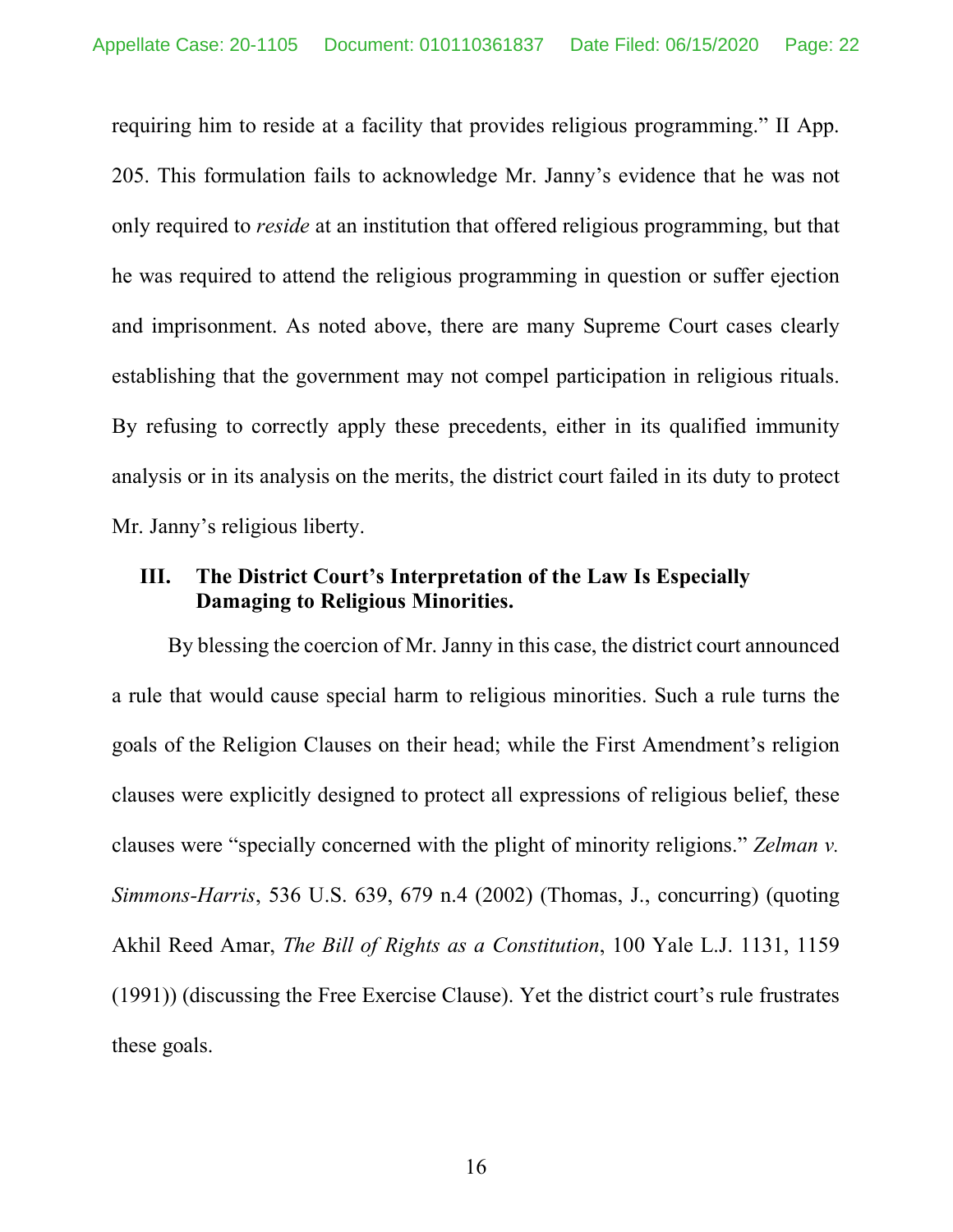requiring him to reside at a facility that provides religious programming." II App. 205. This formulation fails to acknowledge Mr. Janny's evidence that he was not only required to *reside* at an institution that offered religious programming, but that he was required to attend the religious programming in question or suffer ejection and imprisonment. As noted above, there are many Supreme Court cases clearly establishing that the government may not compel participation in religious rituals. By refusing to correctly apply these precedents, either in its qualified immunity analysis or in its analysis on the merits, the district court failed in its duty to protect Mr. Janny's religious liberty.

### **III. The District Court's Interpretation of the Law Is Especially Damaging to Religious Minorities.**

By blessing the coercion of Mr. Janny in this case, the district court announced a rule that would cause special harm to religious minorities. Such a rule turns the goals of the Religion Clauses on their head; while the First Amendment's religion clauses were explicitly designed to protect all expressions of religious belief, these clauses were "specially concerned with the plight of minority religions." *Zelman v. Simmons-Harris*, 536 U.S. 639, 679 n.4 (2002) (Thomas, J., concurring) (quoting Akhil Reed Amar, *The Bill of Rights as a Constitution*, 100 Yale L.J. 1131, 1159 (1991)) (discussing the Free Exercise Clause). Yet the district court's rule frustrates these goals.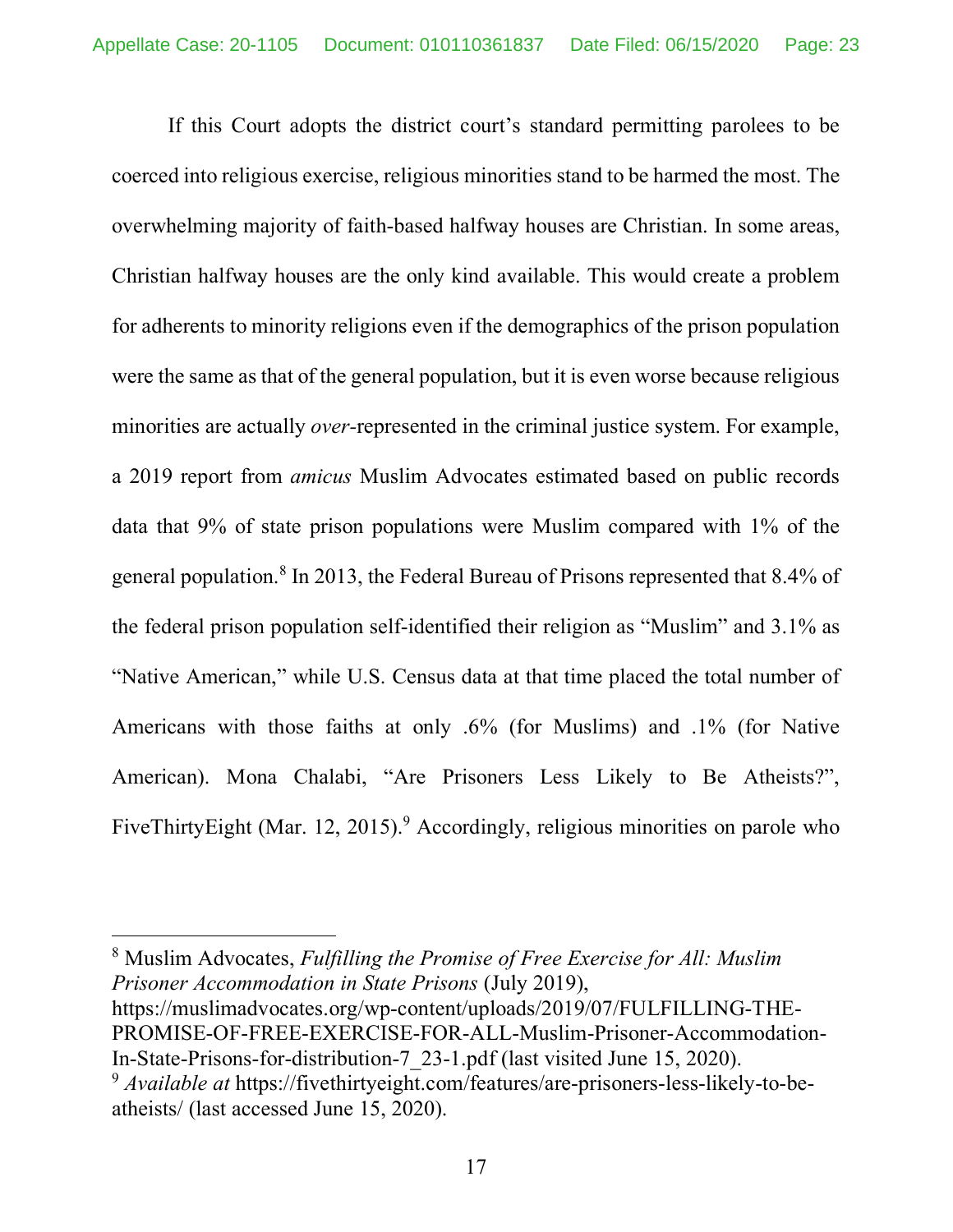If this Court adopts the district court's standard permitting parolees to be coerced into religious exercise, religious minorities stand to be harmed the most. The overwhelming majority of faith-based halfway houses are Christian. In some areas, Christian halfway houses are the only kind available. This would create a problem for adherents to minority religions even if the demographics of the prison population were the same as that of the general population, but it is even worse because religious minorities are actually *over-*represented in the criminal justice system. For example, a 2019 report from *amicus* Muslim Advocates estimated based on public records data that 9% of state prison populations were Muslim compared with 1% of the general population.8 In 2013, the Federal Bureau of Prisons represented that 8.4% of the federal prison population self-identified their religion as "Muslim" and 3.1% as "Native American," while U.S. Census data at that time placed the total number of Americans with those faiths at only .6% (for Muslims) and .1% (for Native American). Mona Chalabi, "Are Prisoners Less Likely to Be Atheists?", FiveThirtyEight (Mar. 12, 2015).<sup>9</sup> Accordingly, religious minorities on parole who

<sup>8</sup> Muslim Advocates, *Fulfilling the Promise of Free Exercise for All: Muslim Prisoner Accommodation in State Prisons* (July 2019), https://muslimadvocates.org/wp-content/uploads/2019/07/FULFILLING-THE-PROMISE-OF-FREE-EXERCISE-FOR-ALL-Muslim-Prisoner-Accommodation-

In-State-Prisons-for-distribution-7\_23-1.pdf (last visited June 15, 2020).

 $\overline{a}$ 

<sup>9</sup> *Available at* https://fivethirtyeight.com/features/are-prisoners-less-likely-to-beatheists/ (last accessed June 15, 2020).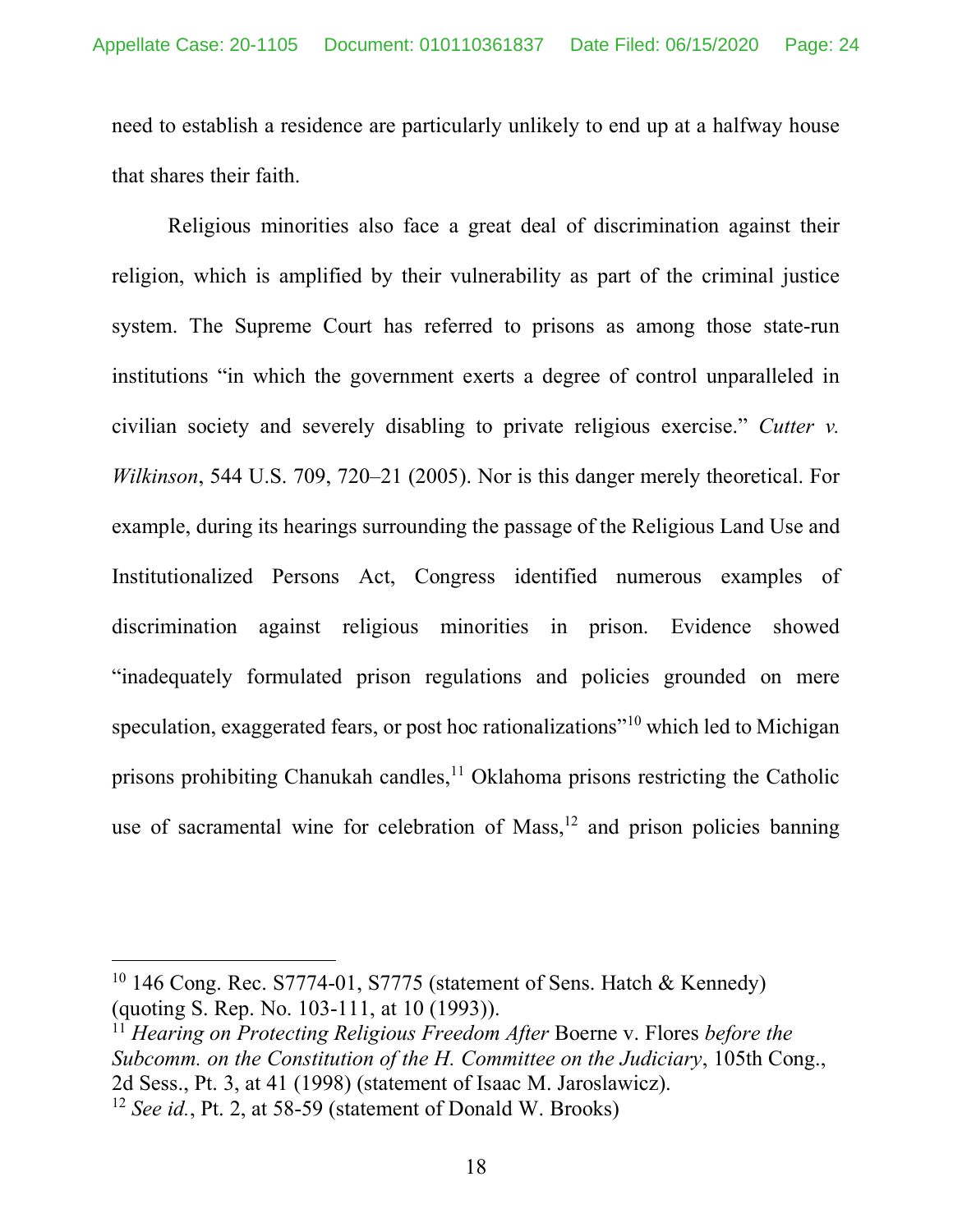need to establish a residence are particularly unlikely to end up at a halfway house that shares their faith.

Religious minorities also face a great deal of discrimination against their religion, which is amplified by their vulnerability as part of the criminal justice system. The Supreme Court has referred to prisons as among those state-run institutions "in which the government exerts a degree of control unparalleled in civilian society and severely disabling to private religious exercise." *Cutter v. Wilkinson*, 544 U.S. 709, 720–21 (2005). Nor is this danger merely theoretical. For example, during its hearings surrounding the passage of the Religious Land Use and Institutionalized Persons Act, Congress identified numerous examples of discrimination against religious minorities in prison. Evidence showed "inadequately formulated prison regulations and policies grounded on mere speculation, exaggerated fears, or post hoc rationalizations<sup>"10</sup> which led to Michigan prisons prohibiting Chanukah candles, $<sup>11</sup>$  Oklahoma prisons restricting the Catholic</sup> use of sacramental wine for celebration of Mass,<sup>12</sup> and prison policies banning

 $\overline{a}$ 

<sup>&</sup>lt;sup>10</sup> 146 Cong. Rec. S7774-01, S7775 (statement of Sens. Hatch & Kennedy) (quoting S. Rep. No. 103-111, at 10 (1993)).

<sup>11</sup> *Hearing on Protecting Religious Freedom After* Boerne v. Flores *before the Subcomm. on the Constitution of the H. Committee on the Judiciary*, 105th Cong., 2d Sess., Pt. 3, at 41 (1998) (statement of Isaac M. Jaroslawicz).

<sup>12</sup> *See id.*, Pt. 2, at 58-59 (statement of Donald W. Brooks)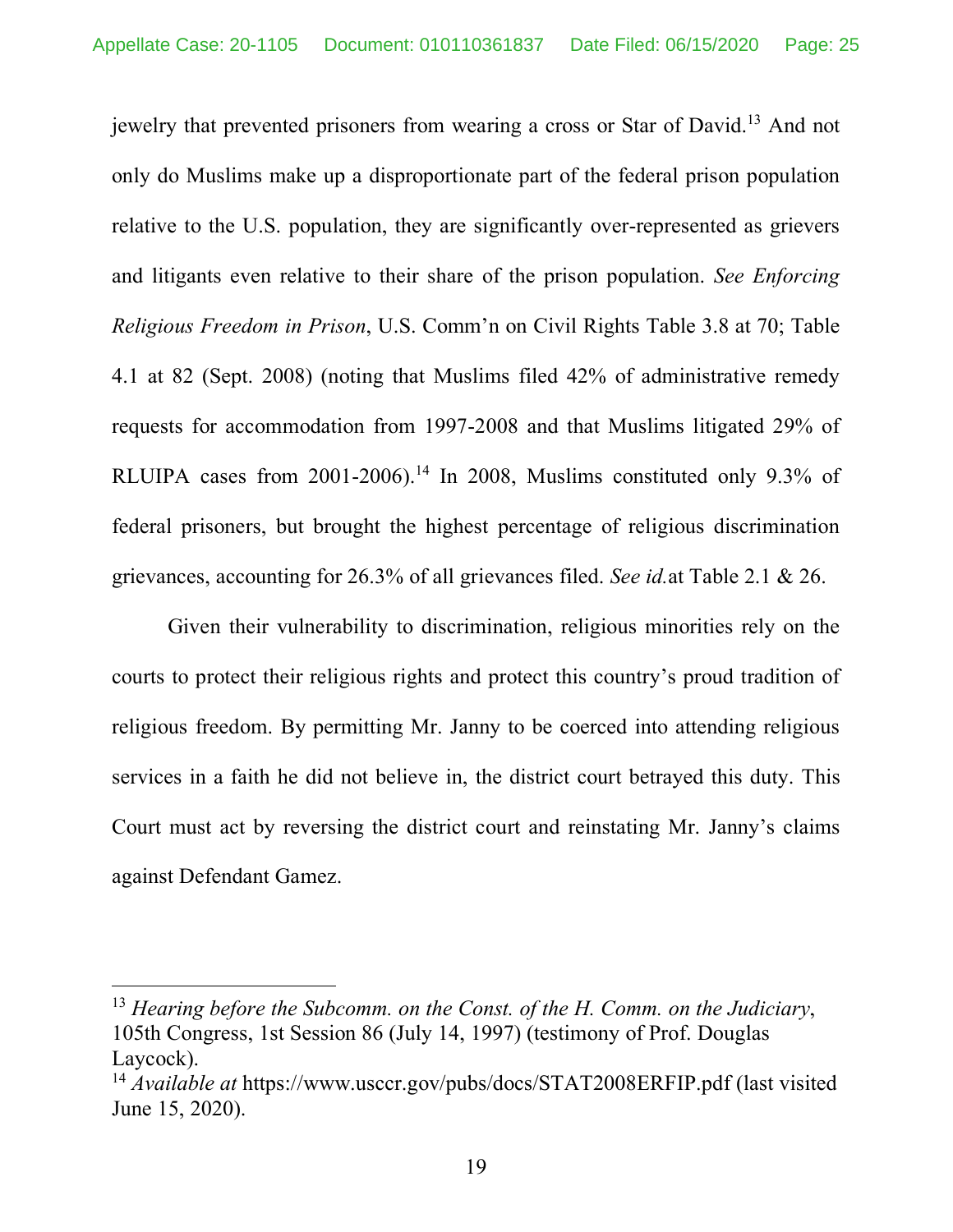jewelry that prevented prisoners from wearing a cross or Star of David.13 And not only do Muslims make up a disproportionate part of the federal prison population relative to the U.S. population, they are significantly over-represented as grievers and litigants even relative to their share of the prison population. *See Enforcing Religious Freedom in Prison*, U.S. Comm'n on Civil Rights Table 3.8 at 70; Table 4.1 at 82 (Sept. 2008) (noting that Muslims filed 42% of administrative remedy requests for accommodation from 1997-2008 and that Muslims litigated 29% of RLUIPA cases from 2001-2006).<sup>14</sup> In 2008, Muslims constituted only 9.3% of federal prisoners, but brought the highest percentage of religious discrimination grievances, accounting for 26.3% of all grievances filed. *See id.*at Table 2.1 & 26.

Given their vulnerability to discrimination, religious minorities rely on the courts to protect their religious rights and protect this country's proud tradition of religious freedom. By permitting Mr. Janny to be coerced into attending religious services in a faith he did not believe in, the district court betrayed this duty. This Court must act by reversing the district court and reinstating Mr. Janny's claims against Defendant Gamez.

 $\overline{\phantom{a}}$ 

<sup>13</sup> *Hearing before the Subcomm. on the Const. of the H. Comm. on the Judiciary*, 105th Congress, 1st Session 86 (July 14, 1997) (testimony of Prof. Douglas Laycock).

<sup>14</sup> *Available at* https://www.usccr.gov/pubs/docs/STAT2008ERFIP.pdf (last visited June 15, 2020).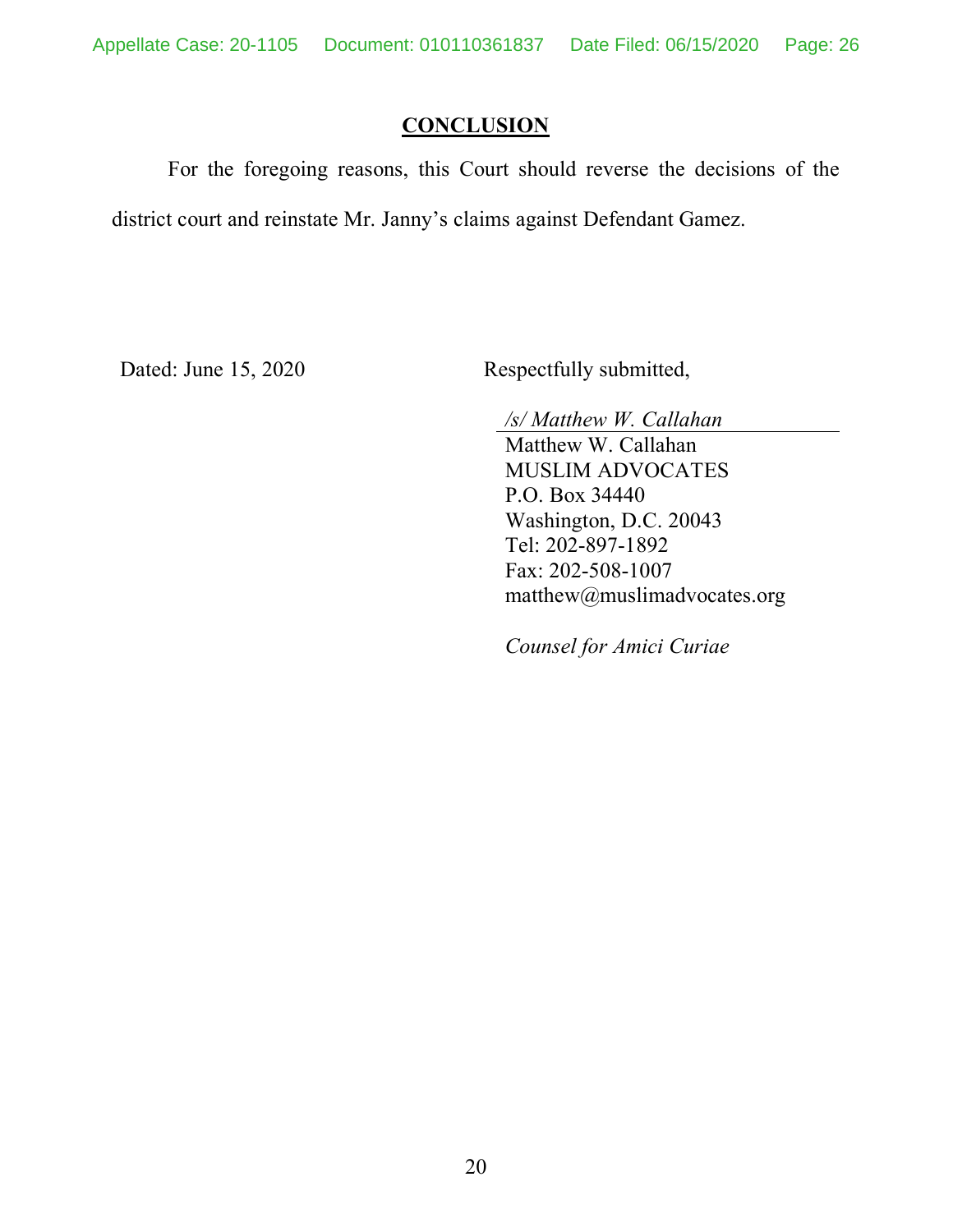### **CONCLUSION**

For the foregoing reasons, this Court should reverse the decisions of the district court and reinstate Mr. Janny's claims against Defendant Gamez.

Dated: June 15, 2020 Respectfully submitted,

*/s/ Matthew W. Callahan*

Matthew W. Callahan MUSLIM ADVOCATES P.O. Box 34440 Washington, D.C. 20043 Tel: 202-897-1892 Fax: 202-508-1007 matthew@muslimadvocates.org

*Counsel for Amici Curiae*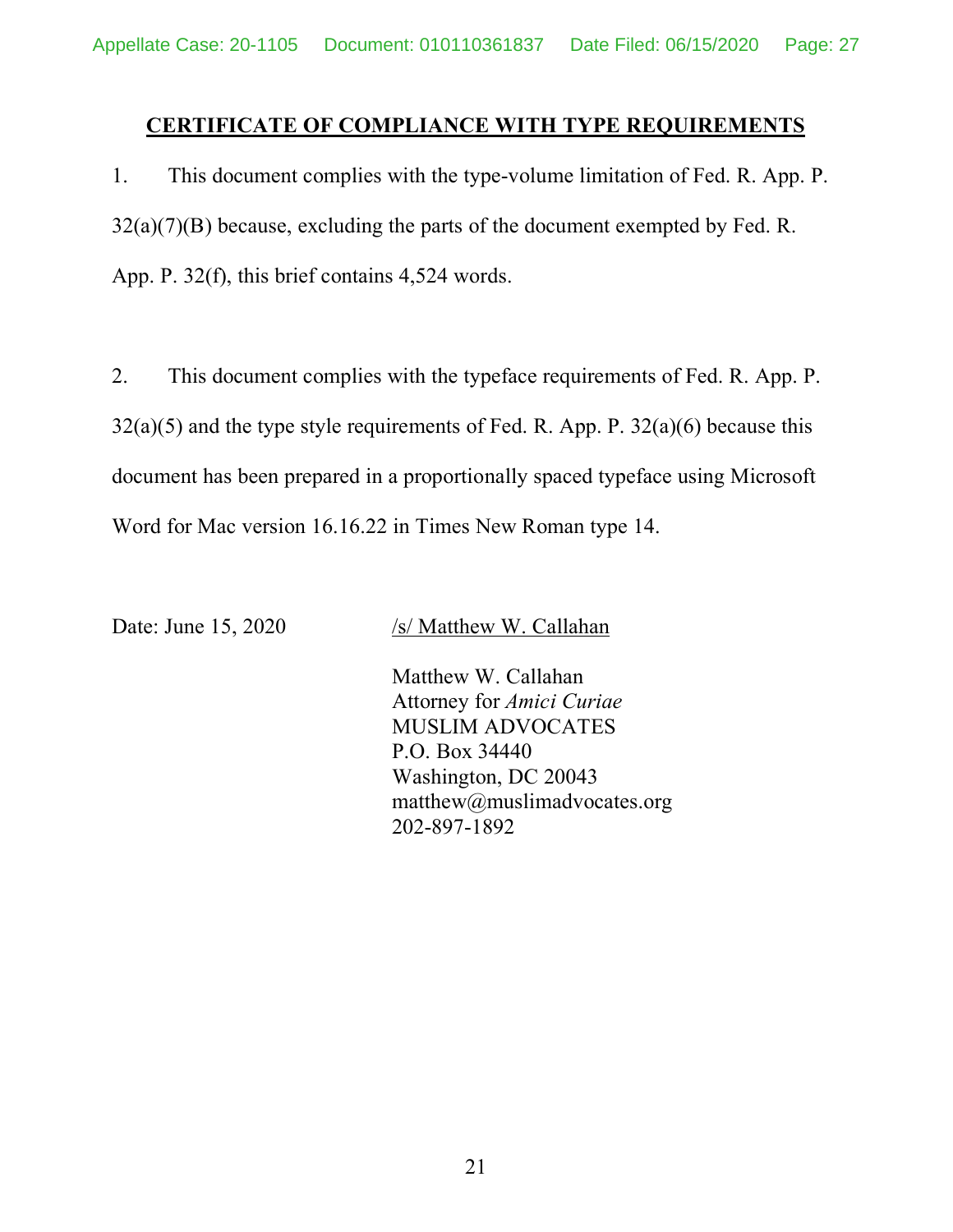### **CERTIFICATE OF COMPLIANCE WITH TYPE REQUIREMENTS**

1. This document complies with the type-volume limitation of Fed. R. App. P.  $32(a)(7)(B)$  because, excluding the parts of the document exempted by Fed. R. App. P. 32(f), this brief contains 4,524 words.

2. This document complies with the typeface requirements of Fed. R. App. P.  $32(a)(5)$  and the type style requirements of Fed. R. App. P.  $32(a)(6)$  because this document has been prepared in a proportionally spaced typeface using Microsoft Word for Mac version 16.16.22 in Times New Roman type 14.

Date: June 15, 2020 /s/ Matthew W. Callahan

Matthew W. Callahan Attorney for *Amici Curiae* MUSLIM ADVOCATES P.O. Box 34440 Washington, DC 20043 matthew@muslimadvocates.org 202-897-1892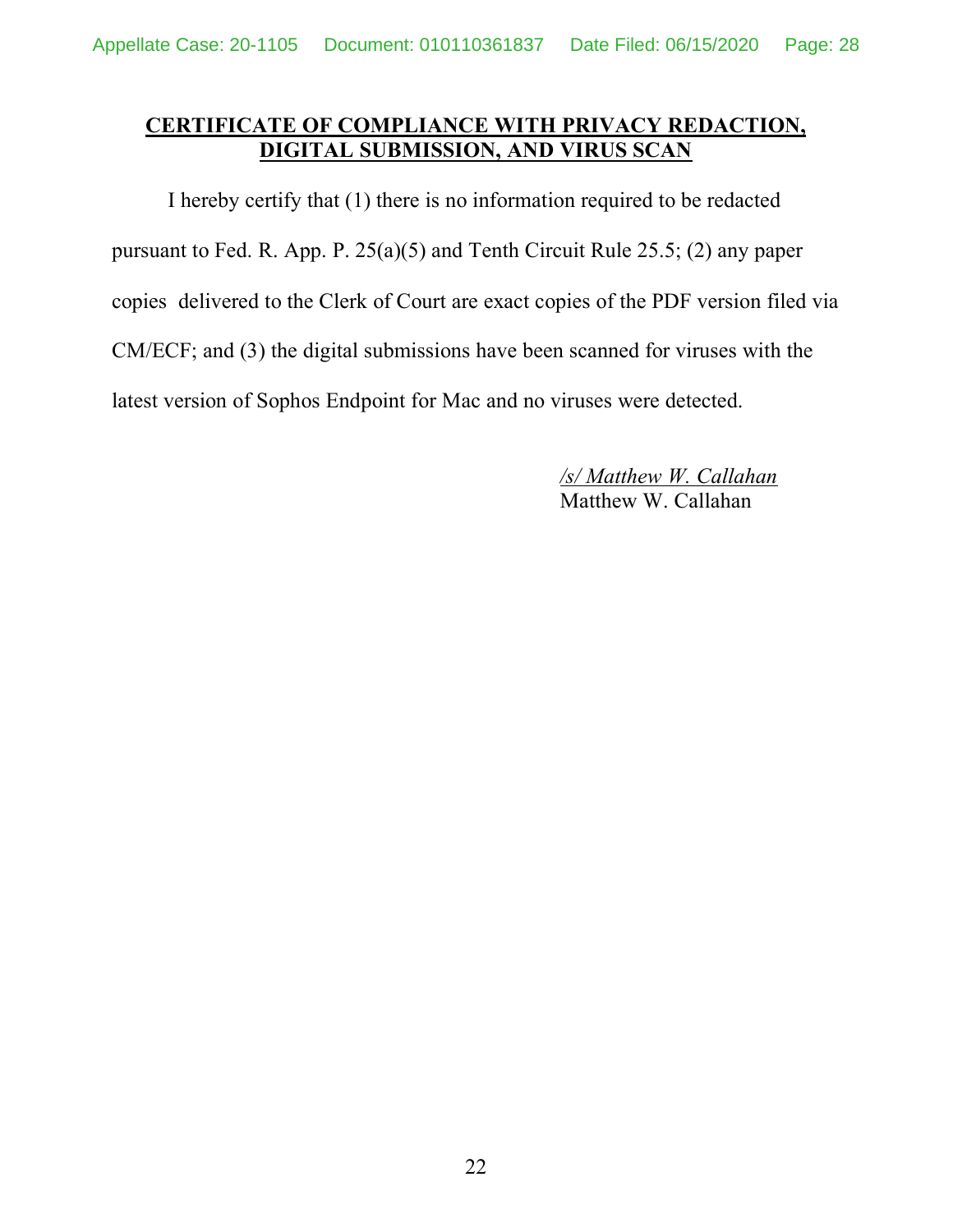### **CERTIFICATE OF COMPLIANCE WITH PRIVACY REDACTION, DIGITAL SUBMISSION, AND VIRUS SCAN**

I hereby certify that (1) there is no information required to be redacted pursuant to Fed. R. App. P. 25(a)(5) and Tenth Circuit Rule 25.5; (2) any paper copies delivered to the Clerk of Court are exact copies of the PDF version filed via CM/ECF; and (3) the digital submissions have been scanned for viruses with the latest version of Sophos Endpoint for Mac and no viruses were detected.

> */s/ Matthew W. Callahan* Matthew W. Callahan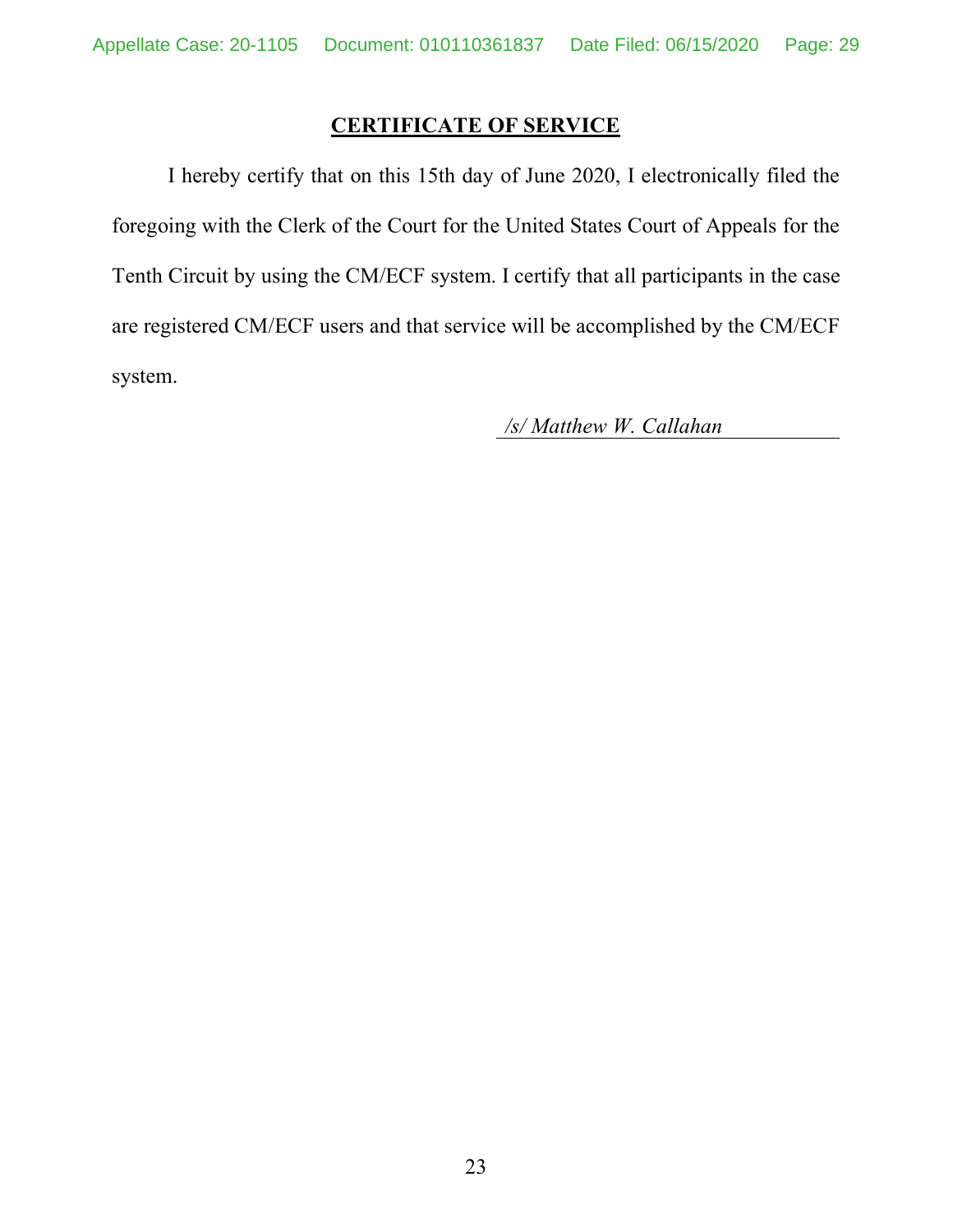### **CERTIFICATE OF SERVICE**

I hereby certify that on this 15th day of June 2020, I electronically filed the foregoing with the Clerk of the Court for the United States Court of Appeals for the Tenth Circuit by using the CM/ECF system. I certify that all participants in the case are registered CM/ECF users and that service will be accomplished by the CM/ECF system.

*/s/ Matthew W. Callahan*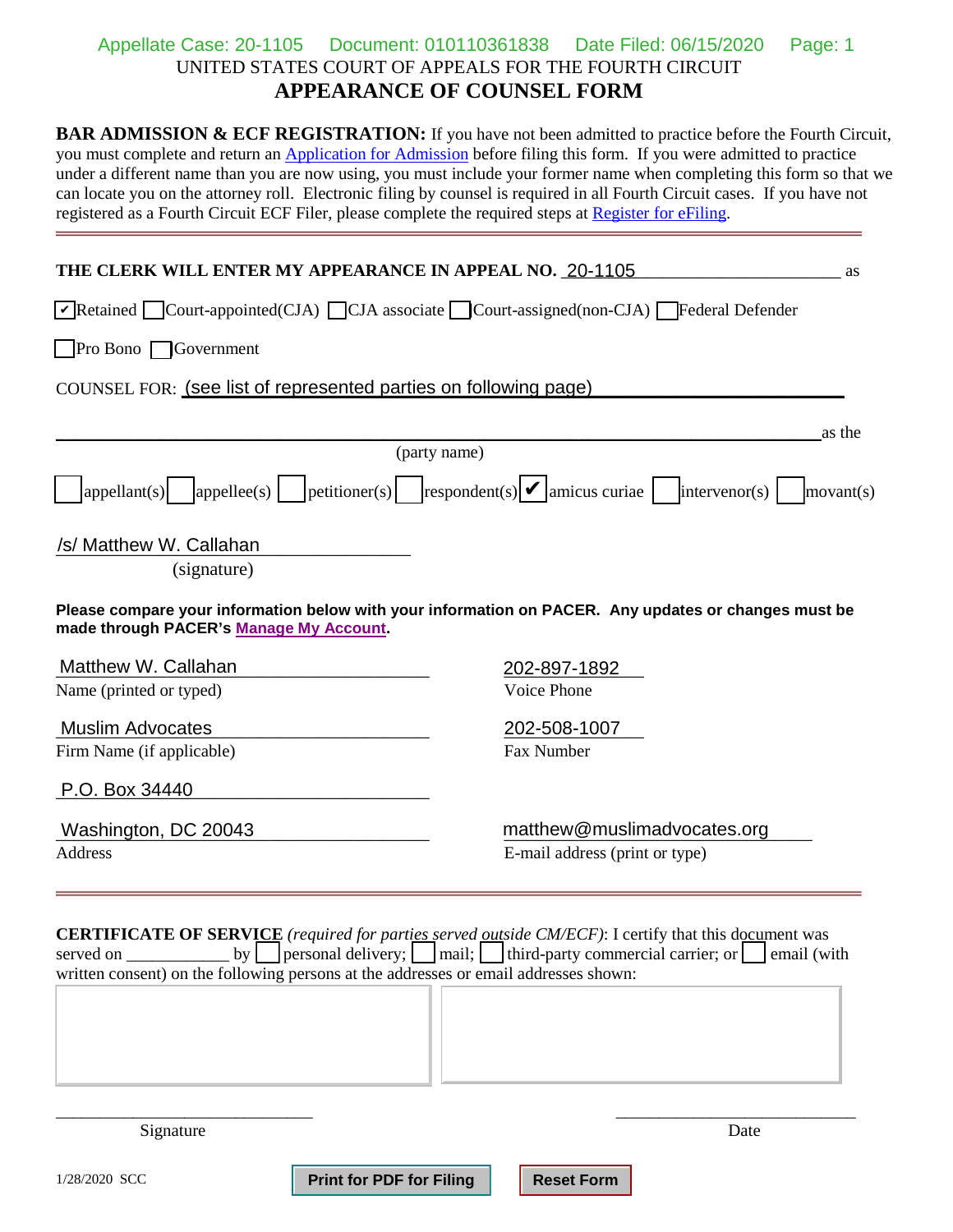#### UNITED STATES COURT OF APPEALS FOR THE FOURTH CIRCUIT **APPEARANCE OF COUNSEL FORM** Appellate Case: 20-1105 Document: 010110361838 Date Filed: 06/15/2020 Page: 1

**BAR ADMISSION & ECF REGISTRATION:** If you have not been admitted to practice before the Fourth Circuit, you must complete and return an [Application for Admission b](http://www.ca4.uscourts.gov/docs/pdfs/attyadm.pdf)efore filing this form. If you were admitted to practice under a different name than you are now using, you must include your former name when completing this form so that we can locate you on the attorney roll. Electronic filing by counsel is required in all Fourth Circuit cases. If you have not registered as a Fourth Circuit ECF Filer, please complete the required steps at [Register for eFiling.](http://www.ca4.uscourts.gov/caseinformationefiling/efiling_cm-ecf/reqsteps_ecffiler) 

| THE CLERK WILL ENTER MY APPEARANCE IN APPEAL NO. 20-1105<br>as                                                                               |                                 |                                                                                                                                                                                                                     |           |  |  |  |  |  |
|----------------------------------------------------------------------------------------------------------------------------------------------|---------------------------------|---------------------------------------------------------------------------------------------------------------------------------------------------------------------------------------------------------------------|-----------|--|--|--|--|--|
| $\triangledown$ Retained $\square$ Court-appointed(CJA) $\square$ CJA associate $\square$ Court-assigned(non-CJA) $\square$ Federal Defender |                                 |                                                                                                                                                                                                                     |           |  |  |  |  |  |
| <b>Pro Bono</b> Government                                                                                                                   |                                 |                                                                                                                                                                                                                     |           |  |  |  |  |  |
| COUNSEL FOR: (see list of represented parties on following page)                                                                             |                                 |                                                                                                                                                                                                                     |           |  |  |  |  |  |
|                                                                                                                                              |                                 |                                                                                                                                                                                                                     |           |  |  |  |  |  |
|                                                                                                                                              | (party name)                    |                                                                                                                                                                                                                     | as the    |  |  |  |  |  |
| appellee(s) <br> appellant(s)                                                                                                                |                                 | $ {\rm petitioner(s)} $ $ {\rm respondent(s)} $ amicus curiae<br>intervenor(s)                                                                                                                                      | movant(s) |  |  |  |  |  |
| /s/ Matthew W. Callahan<br>(signature)                                                                                                       |                                 |                                                                                                                                                                                                                     |           |  |  |  |  |  |
| made through PACER's Manage My Account.                                                                                                      |                                 | Please compare your information below with your information on PACER. Any updates or changes must be                                                                                                                |           |  |  |  |  |  |
| Matthew W. Callahan                                                                                                                          |                                 | 202-897-1892                                                                                                                                                                                                        |           |  |  |  |  |  |
| Name (printed or typed)                                                                                                                      |                                 | Voice Phone                                                                                                                                                                                                         |           |  |  |  |  |  |
| <b>Muslim Advocates</b>                                                                                                                      |                                 | 202-508-1007                                                                                                                                                                                                        |           |  |  |  |  |  |
| Firm Name (if applicable)                                                                                                                    |                                 | Fax Number                                                                                                                                                                                                          |           |  |  |  |  |  |
| P.O. Box 34440                                                                                                                               |                                 |                                                                                                                                                                                                                     |           |  |  |  |  |  |
| Washington, DC 20043                                                                                                                         |                                 | matthew@muslimadvocates.org                                                                                                                                                                                         |           |  |  |  |  |  |
| Address                                                                                                                                      |                                 | E-mail address (print or type)                                                                                                                                                                                      |           |  |  |  |  |  |
| by <sub>l</sub><br>served on<br>written consent) on the following persons at the addresses or email addresses shown:                         |                                 | <b>CERTIFICATE OF SERVICE</b> (required for parties served outside CM/ECF): I certify that this document was<br>$\Box$ personal delivery; $\Box$ mail; $\Box$ third-party commercial carrier; or $\Box$ email (with |           |  |  |  |  |  |
| Signature                                                                                                                                    |                                 | Date                                                                                                                                                                                                                |           |  |  |  |  |  |
| 1/28/2020 SCC                                                                                                                                | <b>Print for PDF for Filing</b> | <b>Reset Form</b>                                                                                                                                                                                                   |           |  |  |  |  |  |